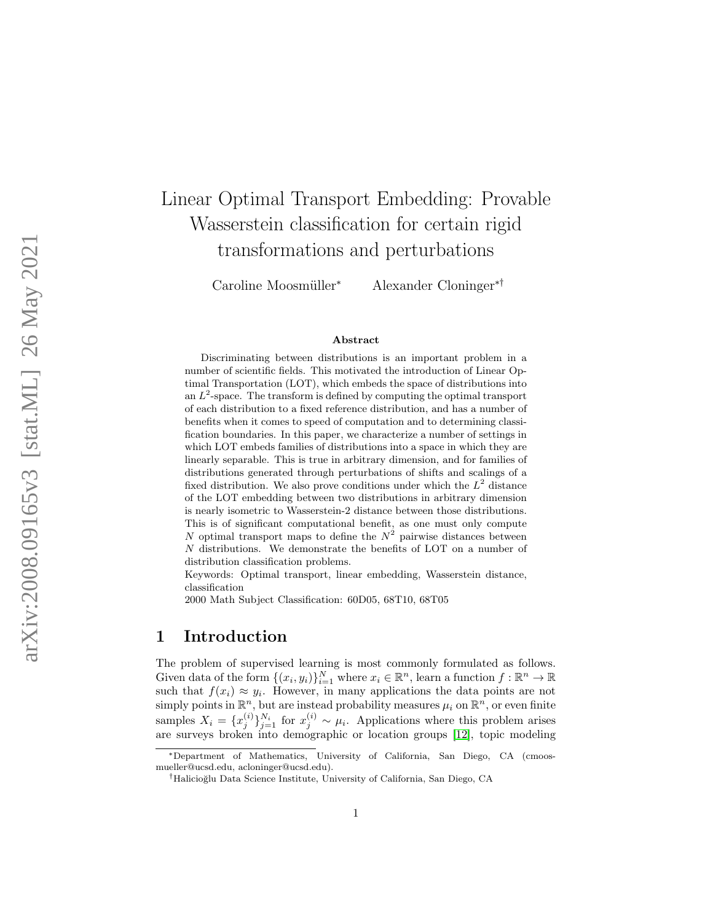# Linear Optimal Transport Embedding: Provable Wasserstein classification for certain rigid transformations and perturbations

Caroline Moosmüller\*

<sup>∗</sup> Alexander Cloninger∗†

#### Abstract

Discriminating between distributions is an important problem in a number of scientific fields. This motivated the introduction of Linear Optimal Transportation (LOT), which embeds the space of distributions into an  $L^2$ -space. The transform is defined by computing the optimal transport of each distribution to a fixed reference distribution, and has a number of benefits when it comes to speed of computation and to determining classification boundaries. In this paper, we characterize a number of settings in which LOT embeds families of distributions into a space in which they are linearly separable. This is true in arbitrary dimension, and for families of distributions generated through perturbations of shifts and scalings of a fixed distribution. We also prove conditions under which the  $L^2$  distance of the LOT embedding between two distributions in arbitrary dimension is nearly isometric to Wasserstein-2 distance between those distributions. This is of significant computational benefit, as one must only compute N optimal transport maps to define the  $N^2$  pairwise distances between N distributions. We demonstrate the benefits of LOT on a number of distribution classification problems.

Keywords: Optimal transport, linear embedding, Wasserstein distance, classification

2000 Math Subject Classification: 60D05, 68T10, 68T05

### 1 Introduction

The problem of supervised learning is most commonly formulated as follows. Given data of the form  $\{(x_i, y_i)\}_{i=1}^N$  where  $x_i \in \mathbb{R}^n$ , learn a function  $f : \mathbb{R}^n \to \mathbb{R}$ such that  $f(x_i) \approx y_i$ . However, in many applications the data points are not simply points in  $\mathbb{R}^n$ , but are instead probability measures  $\mu_i$  on  $\mathbb{R}^n$ , or even finite samples  $X_i = \{x_j^{(i)}\}_{j=1}^{N_i}$  for  $x_j^{(i)} \sim \mu_i$ . Applications where this problem arises are surveys broken into demographic or location groups [\[12\]](#page-25-0), topic modeling

<sup>∗</sup>Department of Mathematics, University of California, San Diego, CA (cmoosmueller@ucsd.edu, acloninger@ucsd.edu).

<sup>&</sup>lt;sup>†</sup>Halicioğlu Data Science Institute, University of California, San Diego, CA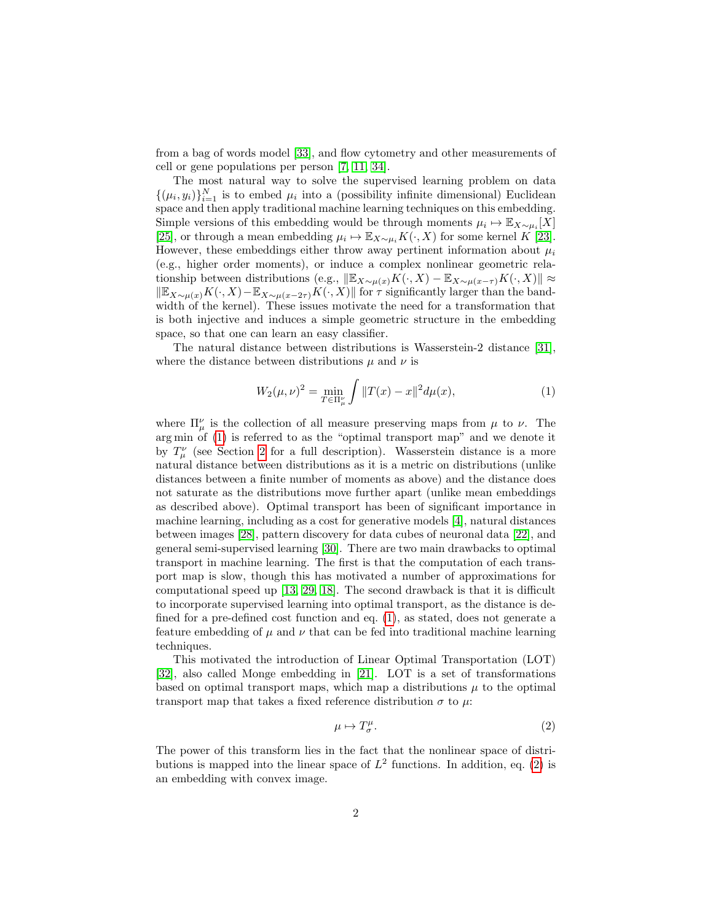from a bag of words model [\[33\]](#page-27-0), and flow cytometry and other measurements of cell or gene populations per person [\[7,](#page-25-1) [11,](#page-25-2) [34\]](#page-27-1).

The most natural way to solve the supervised learning problem on data  $\{(\mu_i, y_i)\}_{i=1}^N$  is to embed  $\mu_i$  into a (possibility infinite dimensional) Euclidean space and then apply traditional machine learning techniques on this embedding. Simple versions of this embedding would be through moments  $\mu_i \mapsto \mathbb{E}_{X \sim \mu_i}[X]$ [\[25\]](#page-26-0), or through a mean embedding  $\mu_i \mapsto \mathbb{E}_{X \sim \mu_i} K(\cdot, X)$  for some kernel K [\[23\]](#page-26-1). However, these embeddings either throw away pertinent information about  $\mu_i$ (e.g., higher order moments), or induce a complex nonlinear geometric relationship between distributions (e.g.,  $\|\mathbb{E}_{X\sim \mu(x)}K(\cdot, X) - \mathbb{E}_{X\sim \mu(x-\tau)}K(\cdot, X)\| \approx$  $\Vert \mathbb{E}_{X\sim \mu(x)}K(\cdot, X)-\mathbb{E}_{X\sim \mu(x-2\tau)}K(\cdot, X)\Vert$  for  $\tau$  significantly larger than the bandwidth of the kernel). These issues motivate the need for a transformation that is both injective and induces a simple geometric structure in the embedding space, so that one can learn an easy classifier.

The natural distance between distributions is Wasserstein-2 distance [\[31\]](#page-27-2), where the distance between distributions  $\mu$  and  $\nu$  is

<span id="page-1-0"></span>
$$
W_2(\mu, \nu)^2 = \min_{T \in \Pi_{\mu}^{\nu}} \int \|T(x) - x\|^2 d\mu(x), \tag{1}
$$

where  $\Pi^{\nu}_{\mu}$  is the collection of all measure preserving maps from  $\mu$  to  $\nu$ . The arg min of [\(1\)](#page-1-0) is referred to as the "optimal transport map" and we denote it by  $T^{\nu}_{\mu}$  (see Section [2](#page-3-0) for a full description). Wasserstein distance is a more natural distance between distributions as it is a metric on distributions (unlike distances between a finite number of moments as above) and the distance does not saturate as the distributions move further apart (unlike mean embeddings as described above). Optimal transport has been of significant importance in machine learning, including as a cost for generative models [\[4\]](#page-25-3), natural distances between images [\[28\]](#page-27-3), pattern discovery for data cubes of neuronal data [\[22\]](#page-26-2), and general semi-supervised learning [\[30\]](#page-27-4). There are two main drawbacks to optimal transport in machine learning. The first is that the computation of each transport map is slow, though this has motivated a number of approximations for computational speed up [\[13,](#page-25-4) [29,](#page-27-5) [18\]](#page-26-3). The second drawback is that it is difficult to incorporate supervised learning into optimal transport, as the distance is defined for a pre-defined cost function and eq. [\(1\)](#page-1-0), as stated, does not generate a feature embedding of  $\mu$  and  $\nu$  that can be fed into traditional machine learning techniques.

This motivated the introduction of Linear Optimal Transportation (LOT) [\[32\]](#page-27-6), also called Monge embedding in [\[21\]](#page-26-4). LOT is a set of transformations based on optimal transport maps, which map a distributions  $\mu$  to the optimal transport map that takes a fixed reference distribution  $\sigma$  to  $\mu$ .

<span id="page-1-1"></span>
$$
\mu \mapsto T^{\mu}_{\sigma}.
$$
 (2)

The power of this transform lies in the fact that the nonlinear space of distributions is mapped into the linear space of  $L^2$  functions. In addition, eq. [\(2\)](#page-1-1) is an embedding with convex image.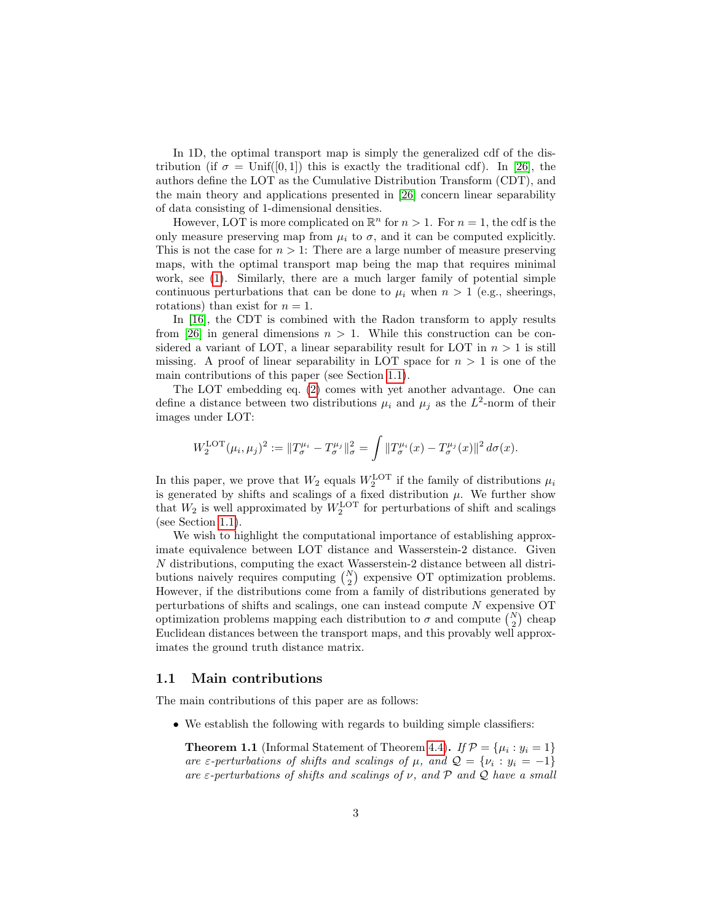In 1D, the optimal transport map is simply the generalized cdf of the distribution (if  $\sigma = \text{Unif}([0,1])$  this is exactly the traditional cdf). In [\[26\]](#page-26-5), the authors define the LOT as the Cumulative Distribution Transform (CDT), and the main theory and applications presented in [\[26\]](#page-26-5) concern linear separability of data consisting of 1-dimensional densities.

However, LOT is more complicated on  $\mathbb{R}^n$  for  $n > 1$ . For  $n = 1$ , the cdf is the only measure preserving map from  $\mu_i$  to  $\sigma$ , and it can be computed explicitly. This is not the case for  $n > 1$ : There are a large number of measure preserving maps, with the optimal transport map being the map that requires minimal work, see [\(1\)](#page-1-0). Similarly, there are a much larger family of potential simple continuous perturbations that can be done to  $\mu_i$  when  $n > 1$  (e.g., sheerings, rotations) than exist for  $n = 1$ .

In [\[16\]](#page-26-6), the CDT is combined with the Radon transform to apply results from [\[26\]](#page-26-5) in general dimensions  $n > 1$ . While this construction can be considered a variant of LOT, a linear separability result for LOT in  $n > 1$  is still missing. A proof of linear separability in LOT space for  $n > 1$  is one of the main contributions of this paper (see Section [1.1\)](#page-2-0).

The LOT embedding eq. [\(2\)](#page-1-1) comes with yet another advantage. One can define a distance between two distributions  $\mu_i$  and  $\mu_j$  as the  $L^2$ -norm of their images under LOT:

$$
W_2^{\text{LOT}}(\mu_i, \mu_j)^2 := \|T^{\mu_i}_{\sigma} - T^{\mu_j}_{\sigma}\|_{\sigma}^2 = \int \|T^{\mu_i}_{\sigma}(x) - T^{\mu_j}_{\sigma}(x)\|^2 d\sigma(x).
$$

In this paper, we prove that  $W_2$  equals  $W_2^{\text{LOT}}$  if the family of distributions  $\mu_i$ In this paper, we prove that  $w_2$  equals  $w_2$  in the rainity of distributions  $\mu_i$  is generated by shifts and scalings of a fixed distribution  $\mu$ . We further show that  $W_2$  is well approximated by  $W_2^{\text{LOT}}$  for perturbations of shift and scalings (see Section [1.1\)](#page-2-0).

We wish to highlight the computational importance of establishing approximate equivalence between LOT distance and Wasserstein-2 distance. Given N distributions, computing the exact Wasserstein-2 distance between all distributions naively requires computing  $\binom{N}{2}$  expensive OT optimization problems. However, if the distributions come from a family of distributions generated by perturbations of shifts and scalings, one can instead compute N expensive OT optimization problems mapping each distribution to  $\sigma$  and compute  $\binom{N}{2}$  cheap Euclidean distances between the transport maps, and this provably well approximates the ground truth distance matrix.

#### <span id="page-2-0"></span>1.1 Main contributions

The main contributions of this paper are as follows:

• We establish the following with regards to building simple classifiers:

**Theorem 1.1** (Informal Statement of Theorem [4.4\)](#page-8-0). If  $\mathcal{P} = {\mu_i : y_i = 1}$ are  $\varepsilon$ -perturbations of shifts and scalings of  $\mu$ , and  $\mathcal{Q} = \{\nu_i : y_i = -1\}$ are  $\varepsilon$ -perturbations of shifts and scalings of  $\nu$ , and  $\not\!\mathcal{P}$  and  $\varrho$  have a small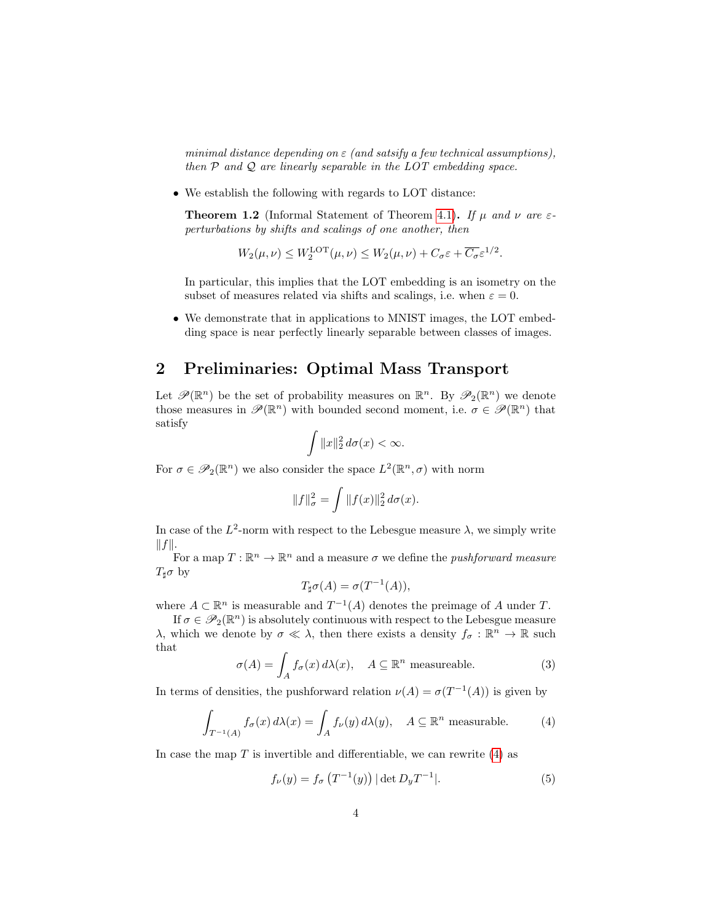minimal distance depending on  $\varepsilon$  (and satsify a few technical assumptions), then  $P$  and  $Q$  are linearly separable in the LOT embedding space.

• We establish the following with regards to LOT distance:

**Theorem 1.2** (Informal Statement of Theorem [4.1\)](#page-7-0). If  $\mu$  and  $\nu$  are  $\varepsilon$ perturbations by shifts and scalings of one another, then

$$
W_2(\mu,\nu) \le W_2^{\text{LOT}}(\mu,\nu) \le W_2(\mu,\nu) + C_{\sigma} \varepsilon + \overline{C_{\sigma}} \varepsilon^{1/2}.
$$

In particular, this implies that the LOT embedding is an isometry on the subset of measures related via shifts and scalings, i.e. when  $\varepsilon = 0$ .

• We demonstrate that in applications to MNIST images, the LOT embedding space is near perfectly linearly separable between classes of images.

### <span id="page-3-0"></span>2 Preliminaries: Optimal Mass Transport

Let  $\mathscr{P}(\mathbb{R}^n)$  be the set of probability measures on  $\mathbb{R}^n$ . By  $\mathscr{P}_2(\mathbb{R}^n)$  we denote those measures in  $\mathscr{P}(\mathbb{R}^n)$  with bounded second moment, i.e.  $\sigma \in \mathscr{P}(\mathbb{R}^n)$  that satisfy

$$
\int \|x\|_2^2 d\sigma(x) < \infty.
$$

For  $\sigma \in \mathscr{P}_2(\mathbb{R}^n)$  we also consider the space  $L^2(\mathbb{R}^n, \sigma)$  with norm

$$
||f||_{\sigma}^{2} = \int ||f(x)||_{2}^{2} d\sigma(x).
$$

In case of the  $L^2$ -norm with respect to the Lebesgue measure  $\lambda$ , we simply write  $||f||.$ 

For a map  $T: \mathbb{R}^n \to \mathbb{R}^n$  and a measure  $\sigma$  we define the *pushforward measure*  $T_{\sharp} \sigma$  by

<span id="page-3-1"></span>
$$
T_{\sharp}\sigma(A) = \sigma(T^{-1}(A)),
$$

where  $A \subset \mathbb{R}^n$  is measurable and  $T^{-1}(A)$  denotes the preimage of A under T.

If  $\sigma \in \mathscr{P}_2(\mathbb{R}^n)$  is absolutely continuous with respect to the Lebesgue measure λ, which we denote by σ ≪ λ, then there exists a density  $f_\sigma : \mathbb{R}^n \to \mathbb{R}$  such that

$$
\sigma(A) = \int_A f_\sigma(x) d\lambda(x), \quad A \subseteq \mathbb{R}^n \text{ measurable.}
$$
 (3)

In terms of densities, the pushforward relation  $\nu(A) = \sigma(T^{-1}(A))$  is given by

$$
\int_{T^{-1}(A)} f_{\sigma}(x) d\lambda(x) = \int_A f_{\nu}(y) d\lambda(y), \quad A \subseteq \mathbb{R}^n \text{ measurable.}
$$
 (4)

In case the map  $T$  is invertible and differentiable, we can rewrite [\(4\)](#page-3-1) as

<span id="page-3-2"></span>
$$
f_{\nu}(y) = f_{\sigma}\left(T^{-1}(y)\right) |\det D_y T^{-1}|.
$$
 (5)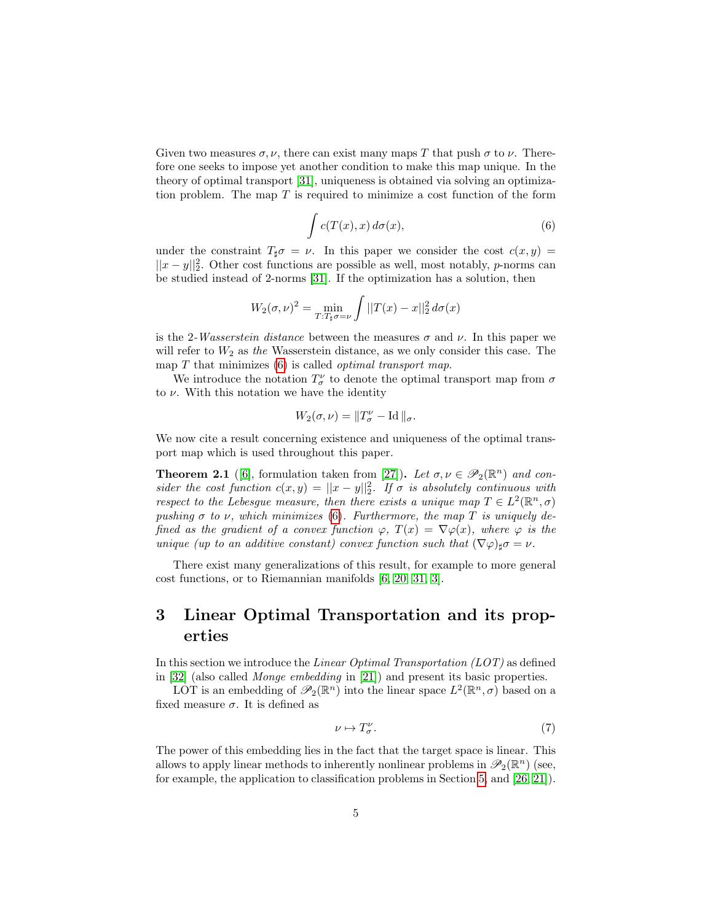Given two measures  $\sigma, \nu$ , there can exist many maps T that push  $\sigma$  to  $\nu$ . Therefore one seeks to impose yet another condition to make this map unique. In the theory of optimal transport [\[31\]](#page-27-2), uniqueness is obtained via solving an optimization problem. The map  $T$  is required to minimize a cost function of the form

$$
\int c(T(x),x) d\sigma(x), \tag{6}
$$

<span id="page-4-0"></span>under the constraint  $T_{\sharp}\sigma = \nu$ . In this paper we consider the cost  $c(x, y) =$  $||x-y||_2^2$ . Other cost functions are possible as well, most notably, *p*-norms can be studied instead of 2-norms [\[31\]](#page-27-2). If the optimization has a solution, then

$$
W_2(\sigma,\nu)^2 = \min_{T:T_\sharp\sigma=\nu} \int ||T(x)-x||_2^2 d\sigma(x)
$$

is the 2-Wasserstein distance between the measures  $\sigma$  and  $\nu$ . In this paper we will refer to  $W_2$  as the Wasserstein distance, as we only consider this case. The map  $T$  that minimizes  $(6)$  is called *optimal transport map*.

We introduce the notation  $T^{\nu}_{\sigma}$  to denote the optimal transport map from  $\sigma$ to  $\nu$ . With this notation we have the identity

$$
W_2(\sigma,\nu)=\|T^\nu_\sigma-\text{Id}\,\|_\sigma.
$$

We now cite a result concerning existence and uniqueness of the optimal transport map which is used throughout this paper.

<span id="page-4-2"></span>**Theorem 2.1** ([\[6\]](#page-25-5), formulation taken from [\[27\]](#page-27-7)). Let  $\sigma, \nu \in \mathscr{P}_2(\mathbb{R}^n)$  and consider the cost function  $c(x, y) = ||x - y||_2^2$ . If  $\sigma$  is absolutely continuous with respect to the Lebesgue measure, then there exists a unique map  $T \in L^2(\mathbb{R}^n, \sigma)$ pushing  $\sigma$  to  $\nu$ , which minimizes [\(6\)](#page-4-0). Furthermore, the map T is uniquely defined as the gradient of a convex function  $\varphi$ ,  $T(x) = \nabla \varphi(x)$ , where  $\varphi$  is the unique (up to an additive constant) convex function such that  $(\nabla \varphi)_{\sharp} \sigma = \nu$ .

There exist many generalizations of this result, for example to more general cost functions, or to Riemannian manifolds [\[6,](#page-25-5) [20,](#page-26-7) [31,](#page-27-2) [3\]](#page-25-6).

# <span id="page-4-3"></span>3 Linear Optimal Transportation and its properties

In this section we introduce the Linear Optimal Transportation (LOT) as defined in [\[32\]](#page-27-6) (also called Monge embedding in [\[21\]](#page-26-4)) and present its basic properties.

LOT is an embedding of  $\mathscr{P}_2(\mathbb{R}^n)$  into the linear space  $L^2(\mathbb{R}^n, \sigma)$  based on a fixed measure  $\sigma$ . It is defined as

<span id="page-4-1"></span>
$$
\nu \mapsto T^{\nu}_{\sigma}.\tag{7}
$$

The power of this embedding lies in the fact that the target space is linear. This allows to apply linear methods to inherently nonlinear problems in  $\mathscr{P}_2(\mathbb{R}^n)$  (see, for example, the application to classification problems in Section [5,](#page-10-0) and [\[26,](#page-26-5) [21\]](#page-26-4)).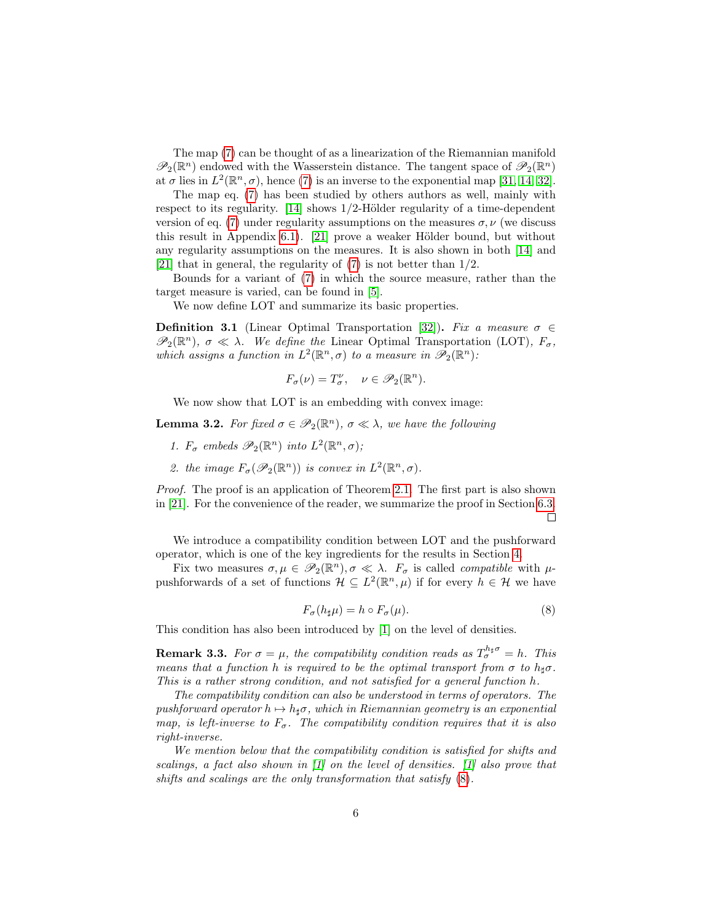The map [\(7\)](#page-4-1) can be thought of as a linearization of the Riemannian manifold  $\mathscr{P}_2(\mathbb{R}^n)$  endowed with the Wasserstein distance. The tangent space of  $\mathscr{P}_2(\mathbb{R}^n)$ at  $\sigma$  lies in  $L^2(\mathbb{R}^n, \sigma)$ , hence [\(7\)](#page-4-1) is an inverse to the exponential map [\[31,](#page-27-2) [14,](#page-26-8) [32\]](#page-27-6).

The map eq. [\(7\)](#page-4-1) has been studied by others authors as well, mainly with respect to its regularity.  $[14]$  shows 1/2-Hölder regularity of a time-dependent version of eq. [\(7\)](#page-4-1) under regularity assumptions on the measures  $\sigma, \nu$  (we discuss this result in Appendix  $6.1$ . [\[21\]](#page-26-4) prove a weaker Hölder bound, but without any regularity assumptions on the measures. It is also shown in both [\[14\]](#page-26-8) and [\[21\]](#page-26-4) that in general, the regularity of  $(7)$  is not better than  $1/2$ .

Bounds for a variant of [\(7\)](#page-4-1) in which the source measure, rather than the target measure is varied, can be found in [\[5\]](#page-25-7).

We now define LOT and summarize its basic properties.

**Definition 3.1** (Linear Optimal Transportation [\[32\]](#page-27-6)). Fix a measure  $\sigma \in$  $\mathscr{P}_2(\mathbb{R}^n)$ ,  $\sigma \ll \lambda$ . We define the Linear Optimal Transportation (LOT),  $F_{\sigma}$ , which assigns a function in  $L^2(\mathbb{R}^n, \sigma)$  to a measure in  $\mathscr{P}_2(\mathbb{R}^n)$ :

$$
F_{\sigma}(\nu) = T_{\sigma}^{\nu}, \quad \nu \in \mathscr{P}_2(\mathbb{R}^n).
$$

We now show that LOT is an embedding with convex image:

<span id="page-5-1"></span>**Lemma 3.2.** For fixed  $\sigma \in \mathscr{P}_2(\mathbb{R}^n)$ ,  $\sigma \ll \lambda$ , we have the following

- 1.  $F_{\sigma}$  embeds  $\mathscr{P}_2(\mathbb{R}^n)$  into  $L^2(\mathbb{R}^n, \sigma)$ ;
- 2. the image  $F_{\sigma}(\mathscr{P}_2(\mathbb{R}^n))$  is convex in  $L^2(\mathbb{R}^n, \sigma)$ .

Proof. The proof is an application of Theorem [2.1.](#page-4-2) The first part is also shown in [\[21\]](#page-26-4). For the convenience of the reader, we summarize the proof in Section [6.3.](#page-20-0)  $\Box$ 

We introduce a compatibility condition between LOT and the pushforward operator, which is one of the key ingredients for the results in Section [4.](#page-6-0)

<span id="page-5-0"></span>Fix two measures  $\sigma, \mu \in \mathscr{P}_2(\mathbb{R}^n), \sigma \ll \lambda$ .  $F_{\sigma}$  is called *compatible* with  $\mu$ pushforwards of a set of functions  $\mathcal{H} \subseteq L^2(\mathbb{R}^n, \mu)$  if for every  $h \in \mathcal{H}$  we have

$$
F_{\sigma}(h_{\sharp}\mu) = h \circ F_{\sigma}(\mu). \tag{8}
$$

This condition has also been introduced by [\[1\]](#page-25-8) on the level of densities.

**Remark 3.3.** For  $\sigma = \mu$ , the compatibility condition reads as  $T_{\sigma}^{h_{\sharp}\sigma} = h$ . This means that a function h is required to be the optimal transport from  $\sigma$  to  $h_{\sharp}\sigma$ . This is a rather strong condition, and not satisfied for a general function h.

The compatibility condition can also be understood in terms of operators. The pushforward operator  $h \mapsto h_{\sharp}\sigma$ , which in Riemannian geometry is an exponential map, is left-inverse to  $F_{\sigma}$ . The compatibility condition requires that it is also right-inverse.

We mention below that the compatibility condition is satisfied for shifts and scalings, a fact also shown in [\[1\]](#page-25-8) on the level of densities. [\[1\]](#page-25-8) also prove that shifts and scalings are the only transformation that satisfy [\(8\)](#page-5-0).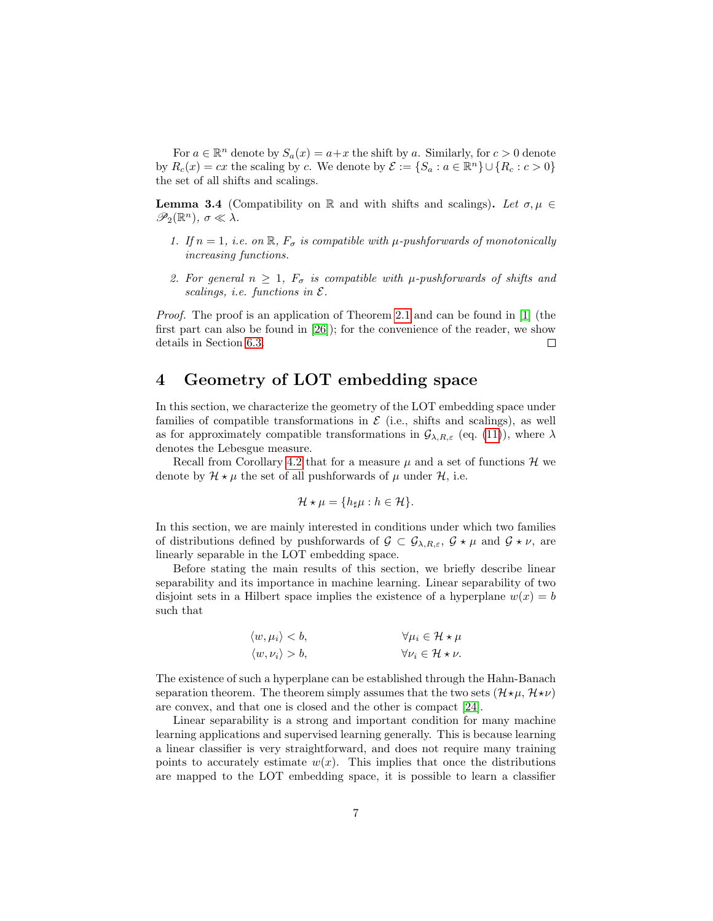For  $a \in \mathbb{R}^n$  denote by  $S_a(x) = a + x$  the shift by a. Similarly, for  $c > 0$  denote by  $R_c(x) = cx$  the scaling by c. We denote by  $\mathcal{E} := \{S_a : a \in \mathbb{R}^n\} \cup \{R_c : c > 0\}$ the set of all shifts and scalings.

<span id="page-6-1"></span>**Lemma 3.4** (Compatibility on R and with shifts and scalings). Let  $\sigma, \mu \in$  $\mathscr{P}_2(\mathbb{R}^n)$ ,  $\sigma \ll \lambda$ .

- 1. If  $n = 1$ , i.e. on  $\mathbb{R}$ ,  $F_{\sigma}$  is compatible with  $\mu$ -pushforwards of monotonically increasing functions.
- 2. For general  $n \geq 1$ ,  $F_{\sigma}$  is compatible with  $\mu$ -pushforwards of shifts and scalings, i.e. functions in  $\mathcal{E}.$

*Proof.* The proof is an application of Theorem [2.1](#page-4-2) and can be found in [\[1\]](#page-25-8) (the first part can also be found in [\[26\]](#page-26-5)); for the convenience of the reader, we show details in Section [6.3.](#page-20-0)  $\Box$ 

# <span id="page-6-0"></span>4 Geometry of LOT embedding space

In this section, we characterize the geometry of the LOT embedding space under families of compatible transformations in  $\mathcal E$  (i.e., shifts and scalings), as well as for approximately compatible transformations in  $\mathcal{G}_{\lambda,R,\varepsilon}$  (eq. [\(11\)](#page-7-1)), where  $\lambda$ denotes the Lebesgue measure.

Recall from Corollary [4.2](#page-8-1) that for a measure  $\mu$  and a set of functions  $\mathcal{H}$  we denote by  $\mathcal{H} \star \mu$  the set of all pushforwards of  $\mu$  under  $\mathcal{H}$ , i.e.

$$
\mathcal{H} \star \mu = \{ h_{\sharp} \mu : h \in \mathcal{H} \}.
$$

In this section, we are mainly interested in conditions under which two families of distributions defined by pushforwards of  $\mathcal{G} \subset \mathcal{G}_{\lambda,R,\varepsilon}$ ,  $\mathcal{G} \star \mu$  and  $\mathcal{G} \star \nu$ , are linearly separable in the LOT embedding space.

Before stating the main results of this section, we briefly describe linear separability and its importance in machine learning. Linear separability of two disjoint sets in a Hilbert space implies the existence of a hyperplane  $w(x) = b$ such that

$$
\langle w, \mu_i \rangle < b, \qquad \forall \mu_i \in \mathcal{H} \star \mu
$$
\n
$$
\langle w, \nu_i \rangle > b, \qquad \forall \nu_i \in \mathcal{H} \star \nu.
$$

The existence of such a hyperplane can be established through the Hahn-Banach separation theorem. The theorem simply assumes that the two sets  $(H\star\mu, H\star\nu)$ are convex, and that one is closed and the other is compact [\[24\]](#page-26-9).

Linear separability is a strong and important condition for many machine learning applications and supervised learning generally. This is because learning a linear classifier is very straightforward, and does not require many training points to accurately estimate  $w(x)$ . This implies that once the distributions are mapped to the LOT embedding space, it is possible to learn a classifier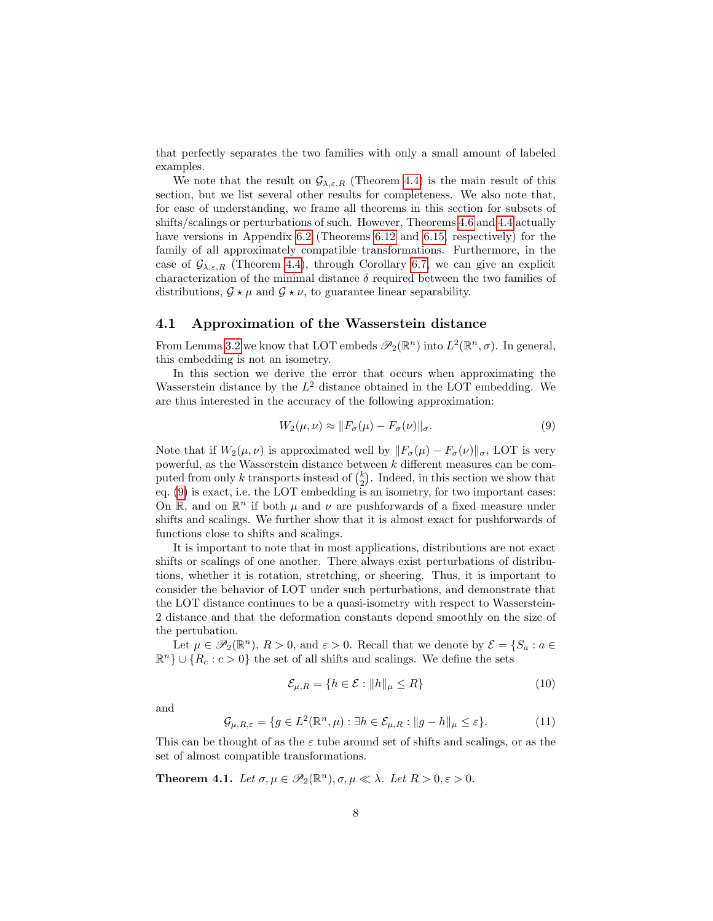that perfectly separates the two families with only a small amount of labeled examples.

We note that the result on  $\mathcal{G}_{\lambda,\varepsilon,R}$  (Theorem [4.4\)](#page-8-0) is the main result of this section, but we list several other results for completeness. We also note that, for ease of understanding, we frame all theorems in this section for subsets of shifts/scalings or perturbations of such. However, Theorems [4.6](#page-9-0) and [4.4](#page-8-0) actually have versions in Appendix [6.2](#page-18-0) (Theorems [6.12](#page-18-1) and [6.15,](#page-19-0) respectively) for the family of all approximately compatible transformations. Furthermore, in the case of  $\mathcal{G}_{\lambda,\varepsilon,R}$  (Theorem [4.4\)](#page-8-0), through Corollary [6.7,](#page-17-0) we can give an explicit characterization of the minimal distance  $\delta$  required between the two families of distributions,  $\mathcal{G} \star \mu$  and  $\mathcal{G} \star \nu$ , to guarantee linear separability.

#### 4.1 Approximation of the Wasserstein distance

From Lemma [3.2](#page-5-1) we know that LOT embeds  $\mathscr{P}_2(\mathbb{R}^n)$  into  $L^2(\mathbb{R}^n, \sigma)$ . In general, this embedding is not an isometry.

In this section we derive the error that occurs when approximating the Wasserstein distance by the  $L^2$  distance obtained in the LOT embedding. We are thus interested in the accuracy of the following approximation:

<span id="page-7-2"></span>
$$
W_2(\mu,\nu) \approx \|F_{\sigma}(\mu) - F_{\sigma}(\nu)\|_{\sigma}.
$$
\n(9)

Note that if  $W_2(\mu, \nu)$  is approximated well by  $||F_{\sigma}(\mu) - F_{\sigma}(\nu)||_{\sigma}$ , LOT is very powerful, as the Wasserstein distance between k different measures can be computed from only k transports instead of  $\binom{k}{2}$ . Indeed, in this section we show that eq. [\(9\)](#page-7-2) is exact, i.e. the LOT embedding is an isometry, for two important cases: On  $\mathbb{R}$ , and on  $\mathbb{R}^n$  if both  $\mu$  and  $\nu$  are pushforwards of a fixed measure under shifts and scalings. We further show that it is almost exact for pushforwards of functions close to shifts and scalings.

It is important to note that in most applications, distributions are not exact shifts or scalings of one another. There always exist perturbations of distributions, whether it is rotation, stretching, or sheering. Thus, it is important to consider the behavior of LOT under such perturbations, and demonstrate that the LOT distance continues to be a quasi-isometry with respect to Wasserstein-2 distance and that the deformation constants depend smoothly on the size of the pertubation.

Let  $\mu \in \mathscr{P}_2(\mathbb{R}^n)$ ,  $R > 0$ , and  $\varepsilon > 0$ . Recall that we denote by  $\mathcal{E} = \{S_a : a \in \mathcal{E}_a\}$  $\mathbb{R}^n$  ∪ { $R_c: c > 0$ } the set of all shifts and scalings. We define the sets

<span id="page-7-3"></span>
$$
\mathcal{E}_{\mu,R} = \{ h \in \mathcal{E} : \|h\|_{\mu} \le R \} \tag{10}
$$

<span id="page-7-1"></span>and

$$
\mathcal{G}_{\mu,R,\varepsilon} = \{ g \in L^2(\mathbb{R}^n, \mu) : \exists h \in \mathcal{E}_{\mu,R} : \|g - h\|_{\mu} \le \varepsilon \}. \tag{11}
$$

This can be thought of as the  $\varepsilon$  tube around set of shifts and scalings, or as the set of almost compatible transformations.

<span id="page-7-0"></span>**Theorem 4.1.** Let  $\sigma, \mu \in \mathscr{P}_2(\mathbb{R}^n), \sigma, \mu \ll \lambda$ . Let  $R > 0, \varepsilon > 0$ .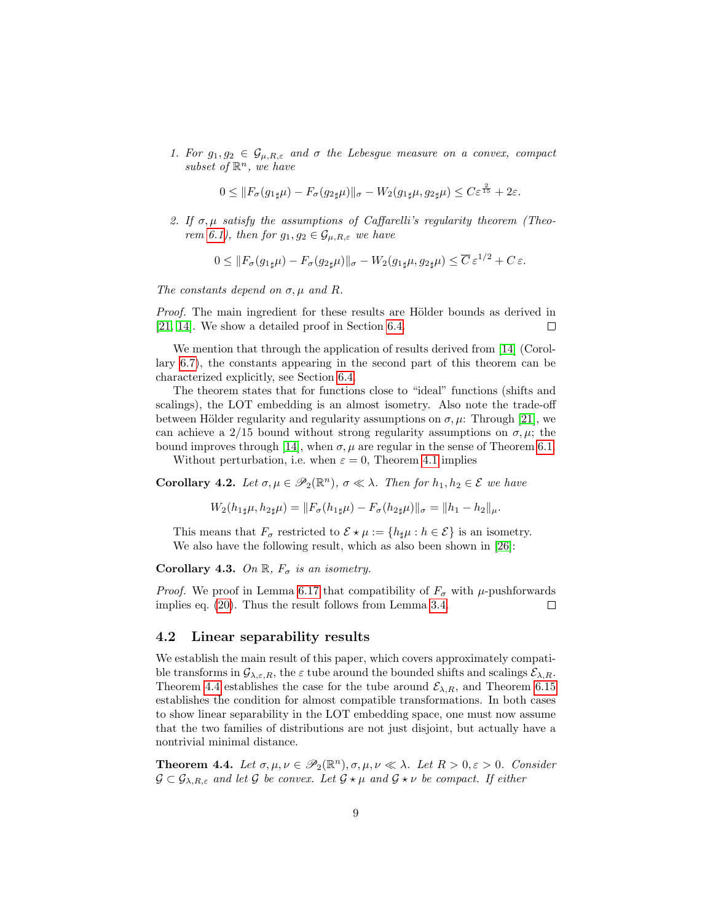1. For  $g_1, g_2 \in \mathcal{G}_{\mu,R,\varepsilon}$  and  $\sigma$  the Lebesgue measure on a convex, compact subset of  $\mathbb{R}^n$ , we have

$$
0 \leq \|F_{\sigma}(g_{1\sharp}\mu) - F_{\sigma}(g_{2\sharp}\mu)\|_{\sigma} - W_2(g_{1\sharp}\mu, g_{2\sharp}\mu) \leq C \varepsilon^{\frac{2}{15}} + 2\varepsilon.
$$

2. If  $\sigma$ ,  $\mu$  satisfy the assumptions of Caffarelli's regularity theorem (Theo-rem [6.1\)](#page-14-1), then for  $g_1, g_2 \in \mathcal{G}_{\mu, R, \varepsilon}$  we have

$$
0 \leq \|F_{\sigma}(g_{1\sharp}\mu) - F_{\sigma}(g_{2\sharp}\mu)\|_{\sigma} - W_2(g_{1\sharp}\mu, g_{2\sharp}\mu) \leq \overline{C} \,\varepsilon^{1/2} + C \,\varepsilon.
$$

The constants depend on  $\sigma, \mu$  and R.

Proof. The main ingredient for these results are Hölder bounds as derived in [\[21,](#page-26-4) [14\]](#page-26-8). We show a detailed proof in Section [6.4.](#page-21-0)  $\Box$ 

We mention that through the application of results derived from [\[14\]](#page-26-8) (Corollary [6.7\)](#page-17-0), the constants appearing in the second part of this theorem can be characterized explicitly, see Section [6.4.](#page-21-0)

The theorem states that for functions close to "ideal" functions (shifts and scalings), the LOT embedding is an almost isometry. Also note the trade-off between Hölder regularity and regularity assumptions on  $\sigma, \mu$ : Through [\[21\]](#page-26-4), we can achieve a 2/15 bound without strong regularity assumptions on  $\sigma, \mu$ ; the bound improves through [\[14\]](#page-26-8), when  $\sigma$ ,  $\mu$  are regular in the sense of Theorem [6.1.](#page-14-1)

Without perturbation, i.e. when  $\varepsilon = 0$ , Theorem [4.1](#page-7-0) implies

<span id="page-8-1"></span>**Corollary 4.2.** Let  $\sigma, \mu \in \mathscr{P}_2(\mathbb{R}^n)$ ,  $\sigma \ll \lambda$ . Then for  $h_1, h_2 \in \mathcal{E}$  we have

$$
W_2(h_{1\sharp}\mu, h_{2\sharp}\mu) = ||F_{\sigma}(h_{1\sharp}\mu) - F_{\sigma}(h_{2\sharp}\mu)||_{\sigma} = ||h_1 - h_2||_{\mu}.
$$

This means that  $F_{\sigma}$  restricted to  $\mathcal{E} \star \mu := \{h_{\sharp}\mu : h \in \mathcal{E}\}\$ is an isometry. We also have the following result, which as also been shown in [\[26\]](#page-26-5):

Corollary 4.3. On  $\mathbb{R}$ ,  $F_{\sigma}$  is an isometry.

*Proof.* We proof in Lemma [6.17](#page-22-0) that compatibility of  $F_{\sigma}$  with  $\mu$ -pushforwards implies eq. [\(20\)](#page-22-1). Thus the result follows from Lemma [3.4.](#page-6-1)  $\Box$ 

#### 4.2 Linear separability results

We establish the main result of this paper, which covers approximately compatible transforms in  $\mathcal{G}_{\lambda,\varepsilon,R}$ , the  $\varepsilon$  tube around the bounded shifts and scalings  $\mathcal{E}_{\lambda,R}$ . Theorem [4.4](#page-8-0) establishes the case for the tube around  $\mathcal{E}_{\lambda,R}$ , and Theorem [6.15](#page-19-0) establishes the condition for almost compatible transformations. In both cases to show linear separability in the LOT embedding space, one must now assume that the two families of distributions are not just disjoint, but actually have a nontrivial minimal distance.

<span id="page-8-0"></span>**Theorem 4.4.** Let  $\sigma, \mu, \nu \in \mathscr{P}_2(\mathbb{R}^n), \sigma, \mu, \nu \ll \lambda$ . Let  $R > 0, \varepsilon > 0$ . Consider  $\mathcal{G} \subset \mathcal{G}_{\lambda,R,\varepsilon}$  and let  $\mathcal{G}$  be convex. Let  $\mathcal{G} \star \mu$  and  $\mathcal{G} \star \nu$  be compact. If either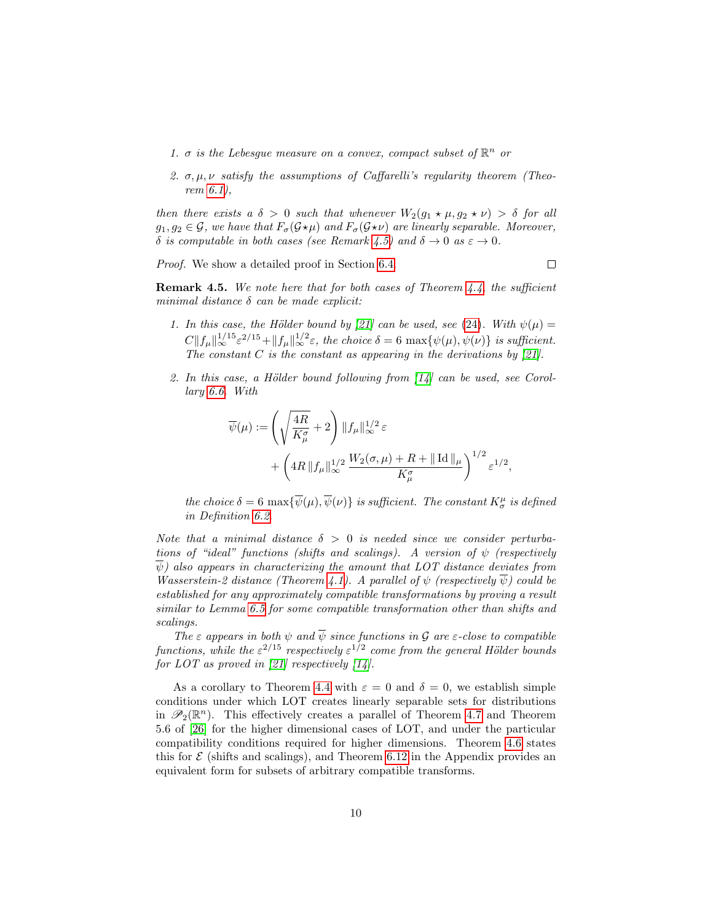- 1.  $\sigma$  is the Lebesgue measure on a convex, compact subset of  $\mathbb{R}^n$  or
- 2.  $\sigma, \mu, \nu$  satisfy the assumptions of Caffarelli's regularity theorem (Theorem [6.1\)](#page-14-1),

then there exists a  $\delta > 0$  such that whenever  $W_2(q_1 \star \mu, q_2 \star \nu) > \delta$  for all  $g_1, g_2 \in \mathcal{G}$ , we have that  $F_{\sigma}(\mathcal{G} \star \mu)$  and  $F_{\sigma}(\mathcal{G} \star \nu)$  are linearly separable. Moreover, δ is computable in both cases (see Remark [4.5\)](#page-9-1) and  $\delta \to 0$  as  $\varepsilon \to 0$ .

Proof. We show a detailed proof in Section [6.4.](#page-21-0)

 $\Box$ 

<span id="page-9-1"></span>**Remark 4.5.** We note here that for both cases of Theorem [4.4,](#page-8-0) the sufficient minimal distance  $\delta$  can be made explicit:

- 1. In this case, the Hölder bound by [\[21\]](#page-26-4) can be used, see [\(24\)](#page-22-2). With  $\psi(\mu) =$  $C\|f_\mu\|_{\infty}^{1/15} \varepsilon^{2/15} + \|f_\mu\|_{\infty}^{1/2} \varepsilon$ , the choice  $\delta = 6 \max{\{\psi(\mu), \psi(\nu)\}}$  is sufficient. The constant  $C$  is the constant as appearing in the derivations by [\[21\]](#page-26-4).
- 2. In this case, a Hölder bound following from  $\left[14\right]$  can be used, see Corollary [6.6.](#page-16-0) With

$$
\overline{\psi}(\mu) := \left(\sqrt{\frac{4R}{K_{\mu}^{\sigma}}} + 2\right) \|f_{\mu}\|_{\infty}^{1/2} \varepsilon
$$
  
+ 
$$
\left(4R \|f_{\mu}\|_{\infty}^{1/2} \frac{W_2(\sigma, \mu) + R + \| \operatorname{Id} \|_{\mu}}{K_{\mu}^{\sigma}}\right)^{1/2} \varepsilon^{1/2},
$$

the choice  $\delta = 6 \max{\{\overline{\psi}(\mu), \overline{\psi}(\nu)\}}$  is sufficient. The constant  $K^{\mu}_{\sigma}$  is defined in Definition [6.2.](#page-14-2)

Note that a minimal distance  $\delta > 0$  is needed since we consider perturbations of "ideal" functions (shifts and scalings). A version of  $\psi$  (respectively  $\psi$ ) also appears in characterizing the amount that LOT distance deviates from Wasserstein-2 distance (Theorem [4.1\)](#page-7-0). A parallel of  $\psi$  (respectively  $\overline{\psi}$ ) could be established for any approximately compatible transformations by proving a result similar to Lemma [6.5](#page-15-0) for some compatible transformation other than shifts and scalings.

The  $\varepsilon$  appears in both  $\psi$  and  $\overline{\psi}$  since functions in  $\mathcal G$  are  $\varepsilon$ -close to compatible functions, while the  $\varepsilon^{2/15}$  respectively  $\varepsilon^{1/2}$  come from the general Hölder bounds for  $LOT$  as proved in [\[21\]](#page-26-4) respectively [\[14\]](#page-26-8).

<span id="page-9-0"></span>As a corollary to Theorem [4.4](#page-8-0) with  $\varepsilon = 0$  and  $\delta = 0$ , we establish simple conditions under which LOT creates linearly separable sets for distributions in  $\mathscr{P}_2(\mathbb{R}^n)$ . This effectively creates a parallel of Theorem [4.7](#page-10-1) and Theorem 5.6 of [\[26\]](#page-26-5) for the higher dimensional cases of LOT, and under the particular compatibility conditions required for higher dimensions. Theorem [4.6](#page-9-0) states this for  $\mathcal E$  (shifts and scalings), and Theorem [6.12](#page-18-1) in the Appendix provides an equivalent form for subsets of arbitrary compatible transforms.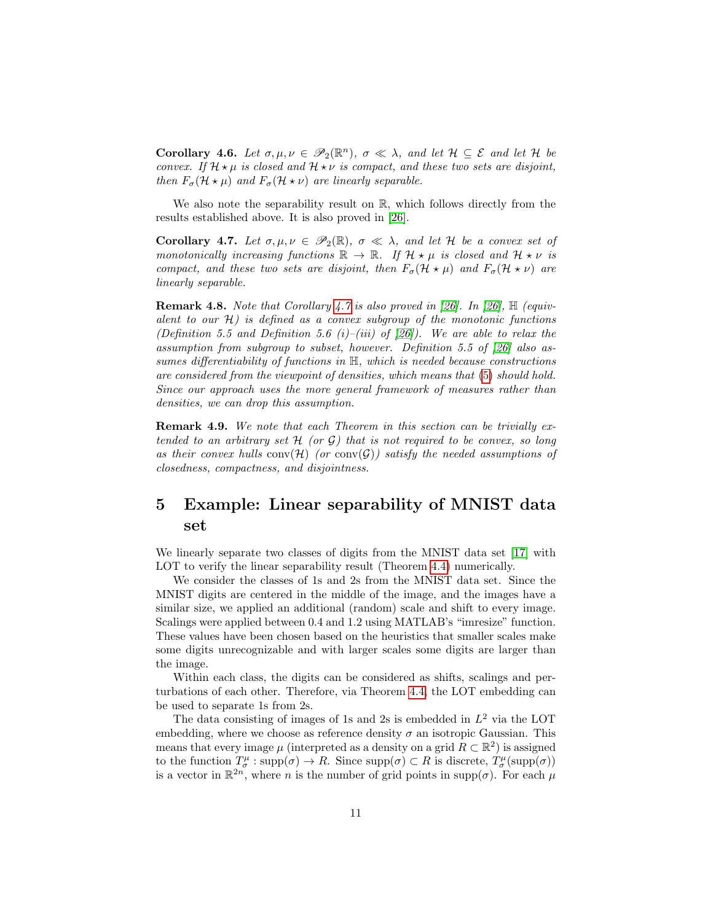**Corollary 4.6.** Let  $\sigma, \mu, \nu \in \mathscr{P}_2(\mathbb{R}^n)$ ,  $\sigma \ll \lambda$ , and let  $\mathcal{H} \subseteq \mathcal{E}$  and let  $\mathcal{H}$  be convex. If  $\mathcal{H} \star \mu$  is closed and  $\mathcal{H} \star \nu$  is compact, and these two sets are disjoint, then  $F_{\sigma}(\mathcal{H} \star \mu)$  and  $F_{\sigma}(\mathcal{H} \star \nu)$  are linearly separable.

We also note the separability result on  $\mathbb{R}$ , which follows directly from the results established above. It is also proved in [\[26\]](#page-26-5).

<span id="page-10-1"></span>**Corollary 4.7.** Let  $\sigma, \mu, \nu \in \mathscr{P}_2(\mathbb{R})$ ,  $\sigma \ll \lambda$ , and let H be a convex set of monotonically increasing functions  $\mathbb{R} \to \mathbb{R}$ . If  $\mathcal{H} \star \mu$  is closed and  $\mathcal{H} \star \nu$  is compact, and these two sets are disjoint, then  $F_{\sigma}(\mathcal{H} \star \mu)$  and  $F_{\sigma}(\mathcal{H} \star \nu)$  are linearly separable.

**Remark 4.8.** Note that Corollary [4.7](#page-10-1) is also proved in [\[26\]](#page-26-5). In [26],  $\mathbb{H}$  (equivalent to our  $H$ ) is defined as a convex subgroup of the monotonic functions (Definition 5.5 and Definition 5.6 (i)–(iii) of [\[26\]](#page-26-5)). We are able to relax the assumption from subgroup to subset, however. Definition 5.5 of [\[26\]](#page-26-5) also assumes differentiability of functions in H, which is needed because constructions are considered from the viewpoint of densities, which means that [\(5\)](#page-3-2) should hold. Since our approach uses the more general framework of measures rather than densities, we can drop this assumption.

Remark 4.9. We note that each Theorem in this section can be trivially extended to an arbitrary set  $H$  (or  $G$ ) that is not required to be convex, so long as their convex hulls conv $(\mathcal{H})$  (or conv $(\mathcal{G})$ ) satisfy the needed assumptions of closedness, compactness, and disjointness.

# <span id="page-10-0"></span>5 Example: Linear separability of MNIST data set

We linearly separate two classes of digits from the MNIST data set [\[17\]](#page-26-10) with LOT to verify the linear separability result (Theorem [4.4\)](#page-8-0) numerically.

We consider the classes of 1s and 2s from the MNIST data set. Since the MNIST digits are centered in the middle of the image, and the images have a similar size, we applied an additional (random) scale and shift to every image. Scalings were applied between 0.4 and 1.2 using MATLAB's "imresize" function. These values have been chosen based on the heuristics that smaller scales make some digits unrecognizable and with larger scales some digits are larger than the image.

Within each class, the digits can be considered as shifts, scalings and perturbations of each other. Therefore, via Theorem [4.4,](#page-8-0) the LOT embedding can be used to separate 1s from 2s.

The data consisting of images of 1s and 2s is embedded in  $L^2$  via the LOT embedding, where we choose as reference density  $\sigma$  an isotropic Gaussian. This means that every image  $\mu$  (interpreted as a density on a grid  $R \subset \mathbb{R}^2$ ) is assigned to the function  $T^{\mu}_{\sigma}$ : supp $(\sigma) \to R$ . Since supp $(\sigma) \subset R$  is discrete,  $T^{\mu}_{\sigma}$ (supp $(\sigma)$ ) is a vector in  $\mathbb{R}^{2n}$ , where *n* is the number of grid points in supp( $\sigma$ ). For each  $\mu$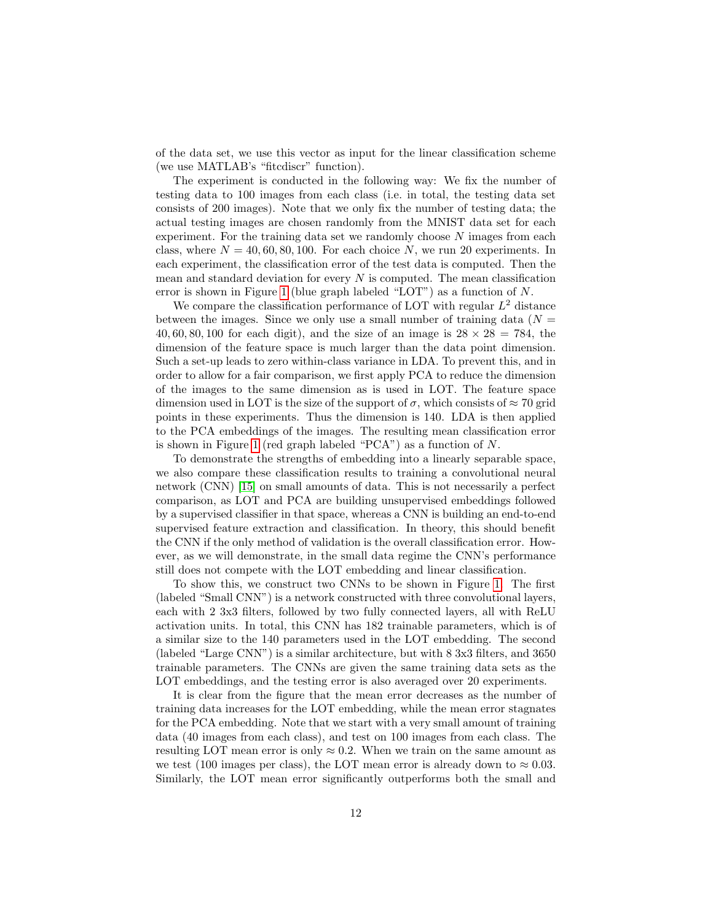of the data set, we use this vector as input for the linear classification scheme (we use MATLAB's "fitcdiscr" function).

The experiment is conducted in the following way: We fix the number of testing data to 100 images from each class (i.e. in total, the testing data set consists of 200 images). Note that we only fix the number of testing data; the actual testing images are chosen randomly from the MNIST data set for each experiment. For the training data set we randomly choose  $N$  images from each class, where  $N = 40, 60, 80, 100$ . For each choice N, we run 20 experiments. In each experiment, the classification error of the test data is computed. Then the mean and standard deviation for every  $N$  is computed. The mean classification error is shown in Figure [1](#page-12-0) (blue graph labeled "LOT") as a function of N.

We compare the classification performance of LOT with regular  $L^2$  distance between the images. Since we only use a small number of training data ( $N =$ 40, 60, 80, 100 for each digit), and the size of an image is  $28 \times 28 = 784$ , the dimension of the feature space is much larger than the data point dimension. Such a set-up leads to zero within-class variance in LDA. To prevent this, and in order to allow for a fair comparison, we first apply PCA to reduce the dimension of the images to the same dimension as is used in LOT. The feature space dimension used in LOT is the size of the support of  $\sigma$ , which consists of  $\approx 70$  grid points in these experiments. Thus the dimension is 140. LDA is then applied to the PCA embeddings of the images. The resulting mean classification error is shown in Figure [1](#page-12-0) (red graph labeled "PCA") as a function of  $N$ .

To demonstrate the strengths of embedding into a linearly separable space, we also compare these classification results to training a convolutional neural network (CNN) [\[15\]](#page-26-11) on small amounts of data. This is not necessarily a perfect comparison, as LOT and PCA are building unsupervised embeddings followed by a supervised classifier in that space, whereas a CNN is building an end-to-end supervised feature extraction and classification. In theory, this should benefit the CNN if the only method of validation is the overall classification error. However, as we will demonstrate, in the small data regime the CNN's performance still does not compete with the LOT embedding and linear classification.

To show this, we construct two CNNs to be shown in Figure [1.](#page-12-0) The first (labeled "Small CNN") is a network constructed with three convolutional layers, each with 2 3x3 filters, followed by two fully connected layers, all with ReLU activation units. In total, this CNN has 182 trainable parameters, which is of a similar size to the 140 parameters used in the LOT embedding. The second (labeled "Large CNN") is a similar architecture, but with 8 3x3 filters, and 3650 trainable parameters. The CNNs are given the same training data sets as the LOT embeddings, and the testing error is also averaged over 20 experiments.

It is clear from the figure that the mean error decreases as the number of training data increases for the LOT embedding, while the mean error stagnates for the PCA embedding. Note that we start with a very small amount of training data (40 images from each class), and test on 100 images from each class. The resulting LOT mean error is only  $\approx 0.2$ . When we train on the same amount as we test (100 images per class), the LOT mean error is already down to  $\approx 0.03$ . Similarly, the LOT mean error significantly outperforms both the small and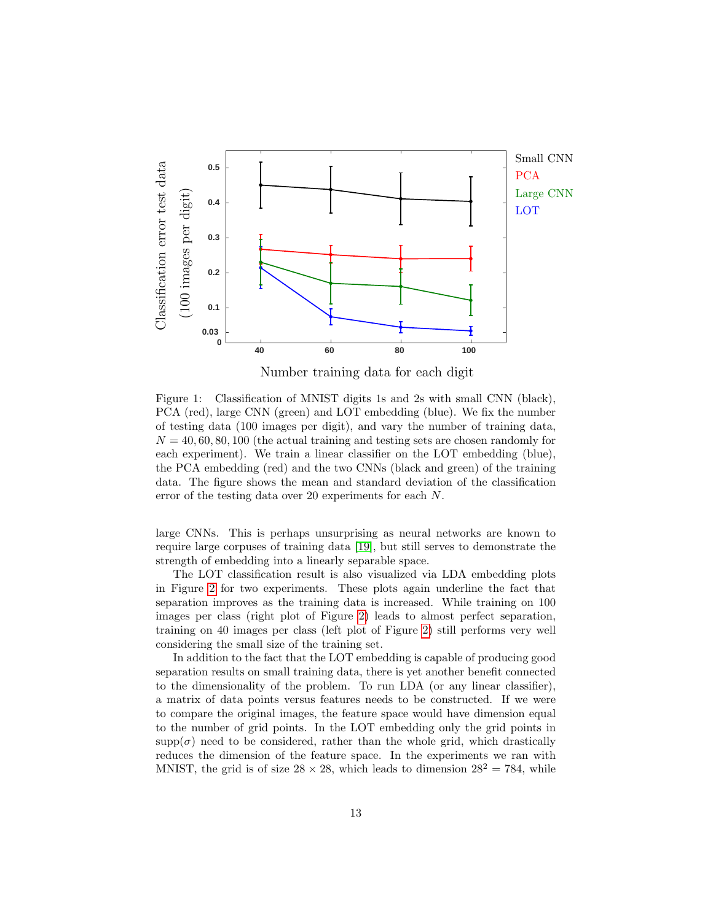

Number training data for each digit

<span id="page-12-0"></span>Figure 1: Classification of MNIST digits 1s and 2s with small CNN (black), PCA (red), large CNN (green) and LOT embedding (blue). We fix the number of testing data (100 images per digit), and vary the number of training data,  $N = 40, 60, 80, 100$  (the actual training and testing sets are chosen randomly for each experiment). We train a linear classifier on the LOT embedding (blue), the PCA embedding (red) and the two CNNs (black and green) of the training data. The figure shows the mean and standard deviation of the classification error of the testing data over 20 experiments for each N.

large CNNs. This is perhaps unsurprising as neural networks are known to require large corpuses of training data [\[19\]](#page-26-12), but still serves to demonstrate the strength of embedding into a linearly separable space.

The LOT classification result is also visualized via LDA embedding plots in Figure [2](#page-13-0) for two experiments. These plots again underline the fact that separation improves as the training data is increased. While training on 100 images per class (right plot of Figure [2\)](#page-13-0) leads to almost perfect separation, training on 40 images per class (left plot of Figure [2\)](#page-13-0) still performs very well considering the small size of the training set.

In addition to the fact that the LOT embedding is capable of producing good separation results on small training data, there is yet another benefit connected to the dimensionality of the problem. To run LDA (or any linear classifier), a matrix of data points versus features needs to be constructed. If we were to compare the original images, the feature space would have dimension equal to the number of grid points. In the LOT embedding only the grid points in supp( $\sigma$ ) need to be considered, rather than the whole grid, which drastically reduces the dimension of the feature space. In the experiments we ran with MNIST, the grid is of size  $28 \times 28$ , which leads to dimension  $28^2 = 784$ , while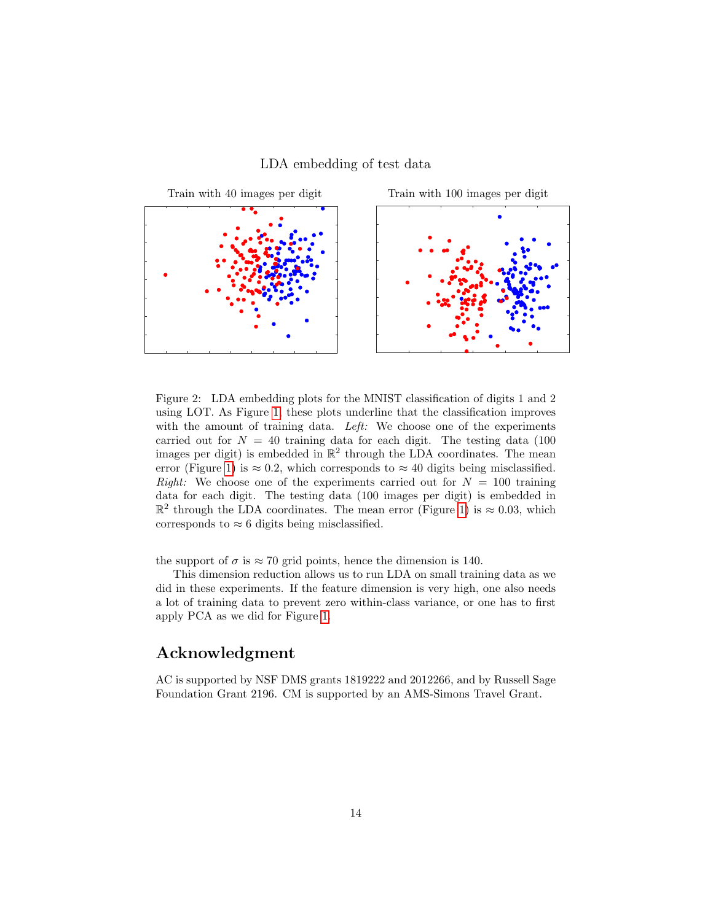#### LDA embedding of test data



<span id="page-13-0"></span>Figure 2: LDA embedding plots for the MNIST classification of digits 1 and 2 using LOT. As Figure [1,](#page-12-0) these plots underline that the classification improves with the amount of training data. Left: We choose one of the experiments carried out for  $N = 40$  training data for each digit. The testing data (100) images per digit) is embedded in  $\mathbb{R}^2$  through the LDA coordinates. The mean error (Figure [1\)](#page-12-0) is  $\approx 0.2$ , which corresponds to  $\approx 40$  digits being misclassified. *Right:* We choose one of the experiments carried out for  $N = 100$  training data for each digit. The testing data (100 images per digit) is embedded in  $\mathbb{R}^2$  through the LDA coordinates. The mean error (Figure [1\)](#page-12-0) is  $\approx 0.03$ , which corresponds to  $\approx 6$  digits being misclassified.

the support of  $\sigma$  is  $\approx 70$  grid points, hence the dimension is 140.

This dimension reduction allows us to run LDA on small training data as we did in these experiments. If the feature dimension is very high, one also needs a lot of training data to prevent zero within-class variance, or one has to first apply PCA as we did for Figure [1.](#page-12-0)

## Acknowledgment

AC is supported by NSF DMS grants 1819222 and 2012266, and by Russell Sage Foundation Grant 2196. CM is supported by an AMS-Simons Travel Grant.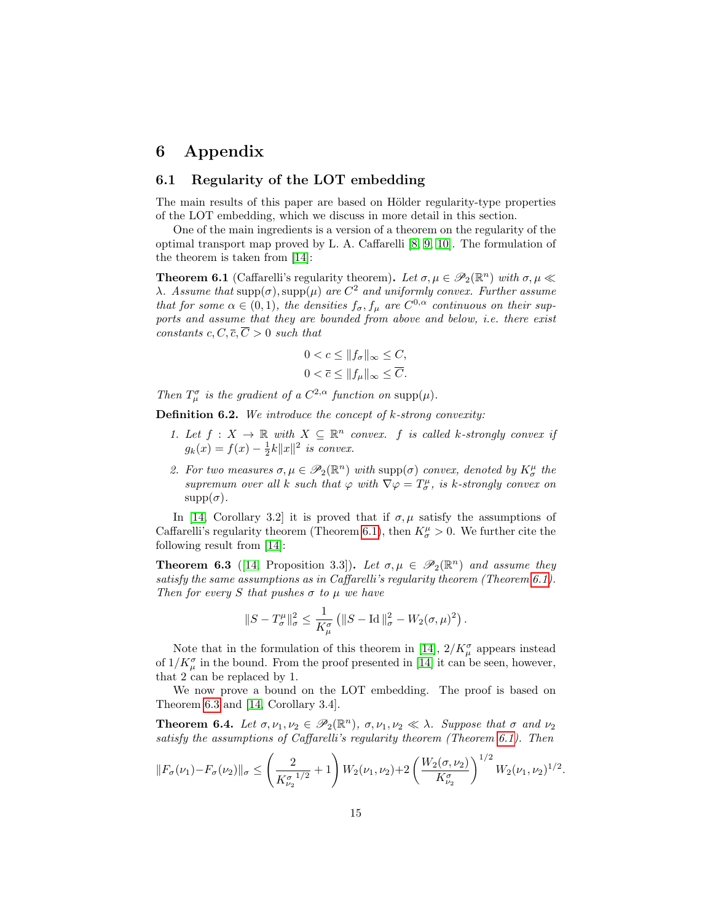# 6 Appendix

#### <span id="page-14-0"></span>6.1 Regularity of the LOT embedding

The main results of this paper are based on Hölder regularity-type properties of the LOT embedding, which we discuss in more detail in this section.

One of the main ingredients is a version of a theorem on the regularity of the optimal transport map proved by L. A. Caffarelli [\[8,](#page-25-9) [9,](#page-25-10) [10\]](#page-25-11). The formulation of the theorem is taken from [\[14\]](#page-26-8):

<span id="page-14-1"></span>**Theorem 6.1** (Caffarelli's regularity theorem). Let  $\sigma, \mu \in \mathscr{P}_2(\mathbb{R}^n)$  with  $\sigma, \mu \ll$ λ. Assume that supp(σ), supp(μ) are  $C^2$  and uniformly convex. Further assume that for some  $\alpha \in (0,1)$ , the densities  $f_{\sigma}, f_{\mu}$  are  $C^{0,\alpha}$  continuous on their supports and assume that they are bounded from above and below, i.e. there exist constants c,  $C, \overline{c}, \overline{C} > 0$  such that

$$
0 < c \leq \|f_{\sigma}\|_{\infty} \leq C,
$$
\n
$$
0 < \overline{c} \leq \|f_{\mu}\|_{\infty} \leq \overline{C}.
$$

Then  $T^{\sigma}_{\mu}$  is the gradient of a  $C^{2,\alpha}$  function on supp $(\mu)$ .

<span id="page-14-2"></span>**Definition 6.2.** We introduce the concept of  $k$ -strong convexity:

- 1. Let  $f: X \to \mathbb{R}$  with  $X \subseteq \mathbb{R}^n$  convex. f is called k-strongly convex if  $g_k(x) = f(x) - \frac{1}{2}k||x||^2$  is convex.
- 2. For two measures  $\sigma, \mu \in \mathscr{P}_2(\mathbb{R}^n)$  with  $\text{supp}(\sigma)$  convex, denoted by  $K^{\mu}_{\sigma}$  the supremum over all k such that  $\varphi$  with  $\nabla \varphi = T^{\mu}_{\sigma}$ , is k-strongly convex on  $supp(\sigma)$ .

In [\[14,](#page-26-8) Corollary 3.2] it is proved that if  $\sigma, \mu$  satisfy the assumptions of Caffarelli's regularity theorem (Theorem [6.1\)](#page-14-1), then  $K^{\mu}_{\sigma} > 0$ . We further cite the following result from [\[14\]](#page-26-8):

<span id="page-14-3"></span>**Theorem 6.3** ([\[14,](#page-26-8) Proposition 3.3]). Let  $\sigma, \mu \in \mathscr{P}_2(\mathbb{R}^n)$  and assume they satisfy the same assumptions as in Caffarelli's regularity theorem (Theorem [6.1\)](#page-14-1). Then for every S that pushes  $\sigma$  to  $\mu$  we have

$$
\|S-T^{\mu}_{\sigma}\|_{\sigma}^2 \leq \frac{1}{K^{\sigma}_{\mu}} \left(\|S-\operatorname{Id}\|_{\sigma}^2-W_2(\sigma,\mu)^2\right).
$$

Note that in the formulation of this theorem in [\[14\]](#page-26-8),  $2/K_{\mu}^{\sigma}$  appears instead of  $1/K_{\mu}^{\sigma}$  in the bound. From the proof presented in [\[14\]](#page-26-8) it can be seen, however, that 2 can be replaced by 1.

We now prove a bound on the LOT embedding. The proof is based on Theorem [6.3](#page-14-3) and [\[14,](#page-26-8) Corollary 3.4].

<span id="page-14-4"></span>**Theorem 6.4.** Let  $\sigma, \nu_1, \nu_2 \in \mathscr{P}_2(\mathbb{R}^n)$ ,  $\sigma, \nu_1, \nu_2 \ll \lambda$ . Suppose that  $\sigma$  and  $\nu_2$ satisfy the assumptions of Caffarelli's regularity theorem (Theorem [6.1\)](#page-14-1). Then

$$
||F_{\sigma}(\nu_1) - F_{\sigma}(\nu_2)||_{\sigma} \leq \left(\frac{2}{K_{\nu_2}^{\sigma^{-1/2}}} + 1\right) W_2(\nu_1, \nu_2) + 2 \left(\frac{W_2(\sigma, \nu_2)}{K_{\nu_2}^{\sigma}}\right)^{1/2} W_2(\nu_1, \nu_2)^{1/2}.
$$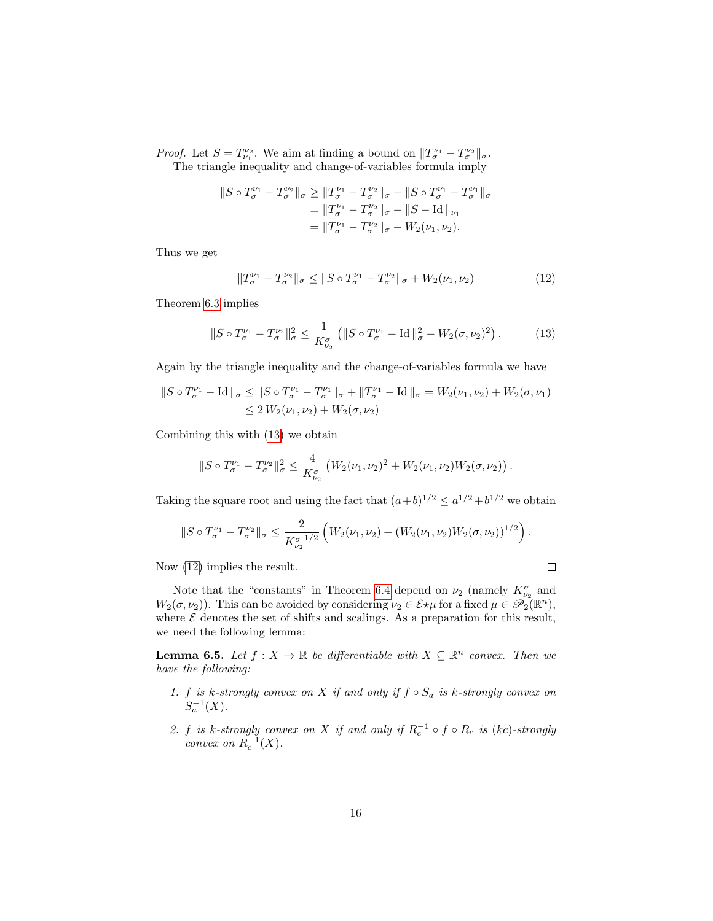*Proof.* Let  $S = T^{\nu_2}_{\nu_1}$ . We aim at finding a bound on  $||T^{\nu_1}_{\sigma} - T^{\nu_2}_{\sigma}||_{\sigma}$ . The triangle inequality and change-of-variables formula imply

$$
||S \circ T_{\sigma}^{\nu_1} - T_{\sigma}^{\nu_2}||_{\sigma} \ge ||T_{\sigma}^{\nu_1} - T_{\sigma}^{\nu_2}||_{\sigma} - ||S \circ T_{\sigma}^{\nu_1} - T_{\sigma}^{\nu_1}||_{\sigma}
$$
  
=  $||T_{\sigma}^{\nu_1} - T_{\sigma}^{\nu_2}||_{\sigma} - ||S - \text{Id}||_{\nu_1}$   
=  $||T_{\sigma}^{\nu_1} - T_{\sigma}^{\nu_2}||_{\sigma} - W_2(\nu_1, \nu_2).$ 

Thus we get

<span id="page-15-2"></span><span id="page-15-1"></span>
$$
||T_{\sigma}^{\nu_1} - T_{\sigma}^{\nu_2}||_{\sigma} \le ||S \circ T_{\sigma}^{\nu_1} - T_{\sigma}^{\nu_2}||_{\sigma} + W_2(\nu_1, \nu_2)
$$
 (12)

Theorem [6.3](#page-14-3) implies

$$
||S \circ T_{\sigma}^{\nu_1} - T_{\sigma}^{\nu_2}||_{\sigma}^2 \le \frac{1}{K_{\nu_2}^{\sigma}} \left( ||S \circ T_{\sigma}^{\nu_1} - \text{Id}||_{\sigma}^2 - W_2(\sigma, \nu_2)^2 \right). \tag{13}
$$

Again by the triangle inequality and the change-of-variables formula we have

$$
||S \circ T_{\sigma}^{\nu_1} - \text{Id}||_{\sigma} \le ||S \circ T_{\sigma}^{\nu_1} - T_{\sigma}^{\nu_1}||_{\sigma} + ||T_{\sigma}^{\nu_1} - \text{Id}||_{\sigma} = W_2(\nu_1, \nu_2) + W_2(\sigma, \nu_1)
$$
  
\$\leq 2 W\_2(\nu\_1, \nu\_2) + W\_2(\sigma, \nu\_2)\$

Combining this with [\(13\)](#page-15-1) we obtain

$$
||S \circ T_{\sigma}^{\nu_1} - T_{\sigma}^{\nu_2}||_{\sigma}^2 \leq \frac{4}{K_{\nu_2}^{\sigma}} \left( W_2(\nu_1, \nu_2)^2 + W_2(\nu_1, \nu_2) W_2(\sigma, \nu_2) \right).
$$

Taking the square root and using the fact that  $(a+b)^{1/2} \le a^{1/2} + b^{1/2}$  we obtain

$$
||S \circ T_{\sigma}^{\nu_1} - T_{\sigma}^{\nu_2}||_{\sigma} \leq \frac{2}{K_{\nu_2}^{\sigma 1/2}} \left( W_2(\nu_1, \nu_2) + (W_2(\nu_1, \nu_2)W_2(\sigma, \nu_2))^{1/2} \right).
$$

 $\Box$ 

Now [\(12\)](#page-15-2) implies the result.

Note that the "constants" in Theorem [6.4](#page-14-4) depend on  $\nu_2$  (namely  $K^{\sigma}_{\nu_2}$  and  $W_2(\sigma,\nu_2)$ ). This can be avoided by considering  $\nu_2 \in \mathcal{E} \star \mu$  for a fixed  $\mu \in \mathscr{P}_2(\mathbb{R}^n)$ , where  $\mathcal E$  denotes the set of shifts and scalings. As a preparation for this result, we need the following lemma:

<span id="page-15-0"></span>**Lemma 6.5.** Let  $f: X \to \mathbb{R}$  be differentiable with  $X \subseteq \mathbb{R}^n$  convex. Then we have the following:

- 1. f is k-strongly convex on X if and only if  $f \circ S_a$  is k-strongly convex on  $S_a^{-1}(X)$ .
- 2. f is k-strongly convex on X if and only if  $R_c^{-1} \circ f \circ R_c$  is (kc)-strongly convex on  $R_c^{-1}(X)$ .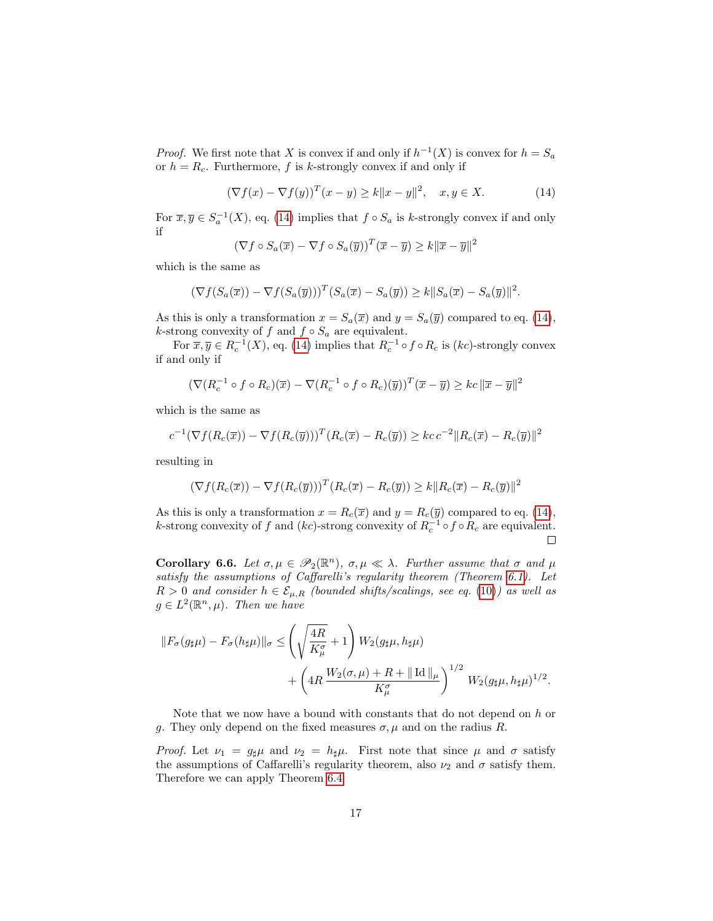*Proof.* We first note that X is convex if and only if  $h^{-1}(X)$  is convex for  $h = S_a$ or  $h = R_c$ . Furthermore, f is k-strongly convex if and only if

<span id="page-16-1"></span>
$$
(\nabla f(x) - \nabla f(y))^T (x - y) \ge k \|x - y\|^2, \quad x, y \in X. \tag{14}
$$

For  $\overline{x}, \overline{y} \in S_a^{-1}(X)$ , eq. [\(14\)](#page-16-1) implies that  $f \circ S_a$  is k-strongly convex if and only if

$$
(\nabla f \circ S_a(\overline{x}) - \nabla f \circ S_a(\overline{y}))^T (\overline{x} - \overline{y}) \ge k ||\overline{x} - \overline{y}||^2
$$

which is the same as

$$
(\nabla f(S_a(\overline{x})) - \nabla f(S_a(\overline{y})))^T (S_a(\overline{x}) - S_a(\overline{y})) \ge k ||S_a(\overline{x}) - S_a(\overline{y})||^2.
$$

As this is only a transformation  $x = S_a(\overline{x})$  and  $y = S_a(\overline{y})$  compared to eq. [\(14\)](#page-16-1), k-strong convexity of f and  $f \circ S_a$  are equivalent.

For  $\overline{x}, \overline{y} \in R_c^{-1}(X)$ , eq. [\(14\)](#page-16-1) implies that  $R_c^{-1} \circ f \circ R_c$  is  $(kc)$ -strongly convex if and only if

$$
(\nabla (R_c^{-1} \circ f \circ R_c)(\overline{x}) - \nabla (R_c^{-1} \circ f \circ R_c)(\overline{y}))^T (\overline{x} - \overline{y}) \geq kc \, \|\overline{x} - \overline{y}\|^2
$$

which is the same as

$$
c^{-1}(\nabla f(R_c(\overline{x})) - \nabla f(R_c(\overline{y})))^T (R_c(\overline{x}) - R_c(\overline{y})) \geq kc c^{-2} ||R_c(\overline{x}) - R_c(\overline{y})||^2
$$

resulting in

$$
(\nabla f(R_c(\overline{x})) - \nabla f(R_c(\overline{y})))^T (R_c(\overline{x}) - R_c(\overline{y})) \ge k \|R_c(\overline{x}) - R_c(\overline{y})\|^2
$$

As this is only a transformation  $x = R_c(\overline{x})$  and  $y = R_c(\overline{y})$  compared to eq. [\(14\)](#page-16-1), k-strong convexity of f and  $(kc)$ -strong convexity of  $R_c^{-1} \circ f \circ R_c$  are equivalent.  $\Box$ 

<span id="page-16-0"></span>Corollary 6.6. Let  $\sigma, \mu \in \mathscr{P}_2(\mathbb{R}^n)$ ,  $\sigma, \mu \ll \lambda$ . Further assume that  $\sigma$  and  $\mu$ satisfy the assumptions of Caffarelli's regularity theorem (Theorem [6.1\)](#page-14-1). Let  $R > 0$  and consider  $h \in \mathcal{E}_{\mu,R}$  (bounded shifts/scalings, see eq. [\(10\)](#page-7-3)) as well as  $g \in L^2(\mathbb{R}^n, \mu)$ . Then we have

$$
||F_{\sigma}(g_{\sharp}\mu) - F_{\sigma}(h_{\sharp}\mu)||_{\sigma} \leq \left(\sqrt{\frac{4R}{K_{\mu}^{\sigma}}} + 1\right)W_{2}(g_{\sharp}\mu, h_{\sharp}\mu) + \left(4R\frac{W_{2}(\sigma, \mu) + R + ||\operatorname{Id}||_{\mu}}{K_{\mu}^{\sigma}}\right)^{1/2}W_{2}(g_{\sharp}\mu, h_{\sharp}\mu)^{1/2}.
$$

Note that we now have a bound with constants that do not depend on  $h$  or g. They only depend on the fixed measures  $\sigma, \mu$  and on the radius R.

*Proof.* Let  $\nu_1 = g_{\sharp} \mu$  and  $\nu_2 = h_{\sharp} \mu$ . First note that since  $\mu$  and  $\sigma$  satisfy the assumptions of Caffarelli's regularity theorem, also  $\nu_2$  and  $\sigma$  satisfy them. Therefore we can apply Theorem [6.4.](#page-14-4)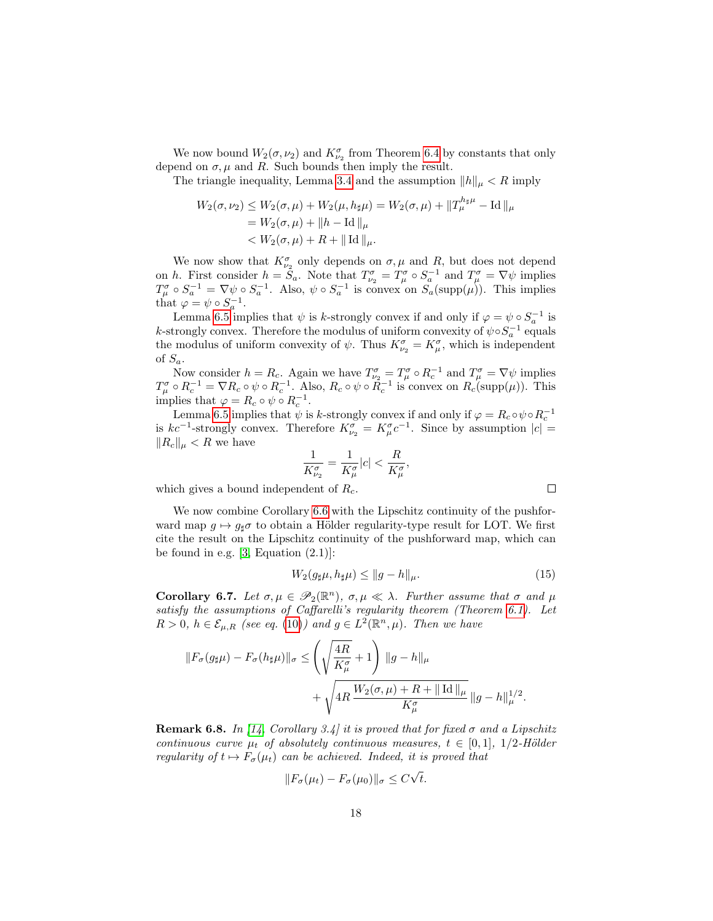We now bound  $W_2(\sigma,\nu_2)$  and  $K_{\nu_2}^{\sigma}$  from Theorem [6.4](#page-14-4) by constants that only depend on  $\sigma, \mu$  and R. Such bounds then imply the result.

The triangle inequality, Lemma [3.4](#page-6-1) and the assumption  $||h||_{\mu} < R$  imply

$$
W_2(\sigma, \nu_2) \le W_2(\sigma, \mu) + W_2(\mu, h_{\sharp}\mu) = W_2(\sigma, \mu) + ||T_{\mu}^{h_{\sharp}\mu} - \text{Id}||_{\mu}
$$
  
=  $W_2(\sigma, \mu) + ||h - \text{Id}||_{\mu}$   
<  $W_2(\sigma, \mu) + R + ||\text{Id}||_{\mu}$ .

We now show that  $K^{\sigma}_{\nu_2}$  only depends on  $\sigma, \mu$  and  $R$ , but does not depend on h. First consider  $h = \tilde{S}_a$ . Note that  $T^{\sigma}_{\nu_2} = T^{\sigma}_{\mu} \circ S_a^{-1}$  and  $T^{\sigma}_{\mu} = \nabla \psi$  implies  $T_{\mu}^{\sigma} \circ S_a^{-1} = \nabla \psi \circ S_a^{-1}$ . Also,  $\psi \circ S_a^{-1}$  is convex on  $S_a(\text{supp}(\mu))$ . This implies that  $\varphi = \psi \circ S_a^{-1}$ .

Lemma [6.5](#page-15-0) implies that  $\psi$  is k-strongly convex if and only if  $\varphi = \psi \circ S_a^{-1}$  is *k*-strongly convex. Therefore the modulus of uniform convexity of  $\psi \circ S_a^{-1}$  equals the modulus of uniform convexity of  $\psi$ . Thus  $K^{\sigma}_{\nu_2} = K^{\sigma}_{\mu}$ , which is independent of  $S_a$ .

Now consider  $h = R_c$ . Again we have  $T_{\nu_2}^{\sigma} = T_{\mu}^{\sigma} \circ R_c^{-1}$  and  $T_{\mu}^{\sigma} = \nabla \psi$  implies  $T_{\mu}^{\sigma} \circ R_{c}^{-1} = \nabla R_{c} \circ \psi \circ R_{c}^{-1}$ . Also,  $R_{c} \circ \psi \circ \tilde{R}_{c}^{-1}$  is convex on  $R_{c}(\text{supp}(\mu))$ . This implies that  $\varphi = R_c \circ \psi \circ R_c^{-1}$ .

Lemma [6.5](#page-15-0) implies that  $\psi$  is k-strongly convex if and only if  $\varphi = R_c \circ \psi \circ R_c^{-1}$ is  $kc^{-1}$ -strongly convex. Therefore  $K^{\sigma}_{\nu_2} = K^{\sigma}_{\mu} c^{-1}$ . Since by assumption  $|c| =$  $||R_c||_\mu < R$  we have

$$
\frac{1}{K^{\sigma}_{\nu_2}} = \frac{1}{K^{\sigma}_{\mu}}|c| < \frac{R}{K^{\sigma}_{\mu}}
$$

which gives a bound independent of  $R_c$ .

We now combine Corollary [6.6](#page-16-0) with the Lipschitz continuity of the pushforward map  $g \mapsto g_{\sharp} \sigma$  to obtain a Hölder regularity-type result for LOT. We first cite the result on the Lipschitz continuity of the pushforward map, which can be found in e.g.  $[3, Equation (2.1)]$  $[3, Equation (2.1)]$ :

<span id="page-17-1"></span>
$$
W_2(g_{\sharp}\mu, h_{\sharp}\mu) \le ||g - h||_{\mu}.
$$
\n(15)

,

<span id="page-17-0"></span>Corollary 6.7. Let  $\sigma, \mu \in \mathscr{P}_2(\mathbb{R}^n)$ ,  $\sigma, \mu \ll \lambda$ . Further assume that  $\sigma$  and  $\mu$ satisfy the assumptions of Caffarelli's regularity theorem (Theorem [6.1\)](#page-14-1). Let  $R > 0, h \in \mathcal{E}_{\mu,R}$  (see eq. [\(10\)](#page-7-3)) and  $g \in L^2(\mathbb{R}^n, \mu)$ . Then we have

$$
||F_{\sigma}(g_{\sharp}\mu) - F_{\sigma}(h_{\sharp}\mu)||_{\sigma} \leq \left(\sqrt{\frac{4R}{K_{\mu}^{\sigma}}} + 1\right) ||g - h||_{\mu}
$$

$$
+ \sqrt{4R \frac{W_2(\sigma, \mu) + R + ||\operatorname{Id}||_{\mu}}{K_{\mu}^{\sigma}} ||g - h||_{\mu}^{1/2}}.
$$

**Remark 6.8.** In [\[14,](#page-26-8) Corollary 3.4] it is proved that for fixed  $\sigma$  and a Lipschitz continuous curve  $\mu_t$  of absolutely continuous measures,  $t \in [0,1]$ , 1/2-Hölder regularity of  $t \mapsto F_{\sigma}(\mu_t)$  can be achieved. Indeed, it is proved that

$$
||F_{\sigma}(\mu_t) - F_{\sigma}(\mu_0)||_{\sigma} \le C\sqrt{t}.
$$

 $\Box$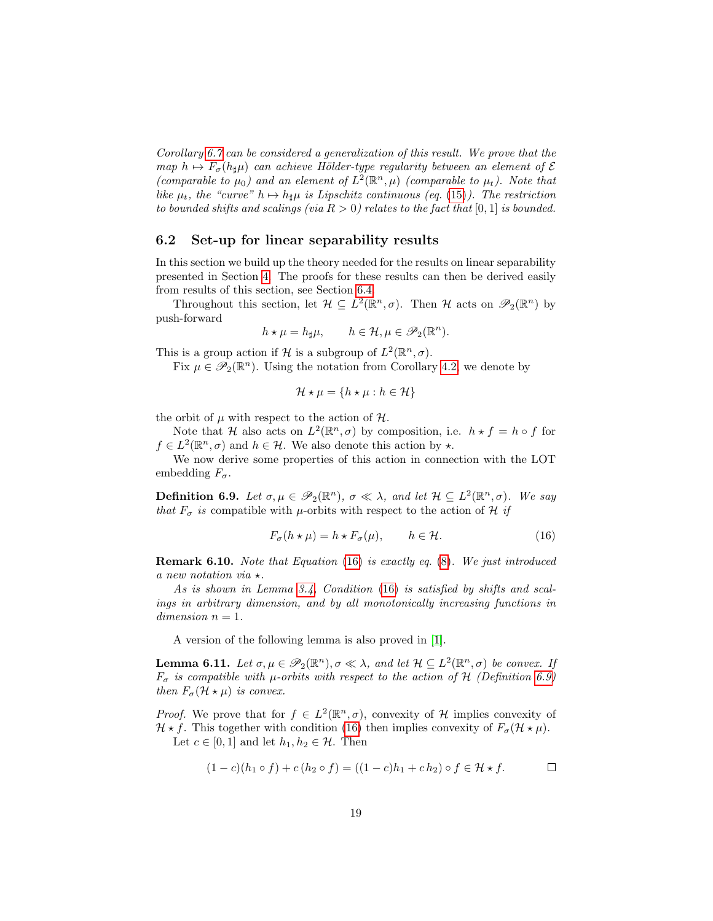Corollary [6.7](#page-17-0) can be considered a generalization of this result. We prove that the map  $h \mapsto F_{\sigma}(h_{\sharp}\mu)$  can achieve Hölder-type regularity between an element of  $\mathcal E$ (comparable to  $\mu_0$ ) and an element of  $L^2(\mathbb{R}^n, \mu)$  (comparable to  $\mu_t$ ). Note that like  $\mu_t$ , the "curve"  $h \mapsto h_{\sharp} \mu$  is Lipschitz continuous (eq. [\(15\)](#page-17-1)). The restriction to bounded shifts and scalings (via  $R > 0$ ) relates to the fact that [0, 1] is bounded.

#### <span id="page-18-0"></span>6.2 Set-up for linear separability results

In this section we build up the theory needed for the results on linear separability presented in Section [4.](#page-6-0) The proofs for these results can then be derived easily from results of this section, see Section [6.4.](#page-21-0)

Throughout this section, let  $\mathcal{H} \subseteq L^2(\mathbb{R}^n, \sigma)$ . Then  $\mathcal{H}$  acts on  $\mathscr{P}_2(\mathbb{R}^n)$  by push-forward

$$
h \star \mu = h_{\sharp}\mu, \qquad h \in \mathcal{H}, \mu \in \mathscr{P}_2(\mathbb{R}^n).
$$

This is a group action if H is a subgroup of  $L^2(\mathbb{R}^n, \sigma)$ .

Fix  $\mu \in \mathscr{P}_2(\mathbb{R}^n)$ . Using the notation from Corollary [4.2,](#page-8-1) we denote by

<span id="page-18-2"></span>
$$
\mathcal{H} \star \mu = \{ h \star \mu : h \in \mathcal{H} \}
$$

the orbit of  $\mu$  with respect to the action of  $\mathcal{H}$ .

Note that H also acts on  $L^2(\mathbb{R}^n, \sigma)$  by composition, i.e.  $h \star f = h \circ f$  for  $f \in L^2(\mathbb{R}^n, \sigma)$  and  $h \in \mathcal{H}$ . We also denote this action by  $\star$ .

We now derive some properties of this action in connection with the LOT embedding  $F_{\sigma}$ .

<span id="page-18-3"></span>**Definition 6.9.** Let  $\sigma, \mu \in \mathscr{P}_2(\mathbb{R}^n)$ ,  $\sigma \ll \lambda$ , and let  $\mathcal{H} \subseteq L^2(\mathbb{R}^n, \sigma)$ . We say that  $F_{\sigma}$  is compatible with  $\mu$ -orbits with respect to the action of H if

$$
F_{\sigma}(h \star \mu) = h \star F_{\sigma}(\mu), \qquad h \in \mathcal{H}.
$$
 (16)

<span id="page-18-5"></span>Remark 6.10. Note that Equation [\(16\)](#page-18-2) is exactly eq. [\(8\)](#page-5-0). We just introduced a new notation via  $\star.$ 

As is shown in Lemma [3.4,](#page-6-1) Condition [\(16\)](#page-18-2) is satisfied by shifts and scalings in arbitrary dimension, and by all monotonically increasing functions in  $dimension n = 1.$ 

A version of the following lemma is also proved in [\[1\]](#page-25-8).

<span id="page-18-4"></span>**Lemma 6.11.** Let  $\sigma, \mu \in \mathscr{P}_2(\mathbb{R}^n), \sigma \ll \lambda$ , and let  $\mathcal{H} \subseteq L^2(\mathbb{R}^n, \sigma)$  be convex. If  $F_{\sigma}$  is compatible with  $\mu$ -orbits with respect to the action of H (Definition [6.9\)](#page-18-3) then  $F_{\sigma}(\mathcal{H} \star \mu)$  is convex.

*Proof.* We prove that for  $f \in L^2(\mathbb{R}^n, \sigma)$ , convexity of H implies convexity of  $\mathcal{H} \star f$ . This together with condition [\(16\)](#page-18-2) then implies convexity of  $F_{\sigma}(\mathcal{H} \star \mu)$ . Let  $c \in [0,1]$  and let  $h_1, h_2 \in \mathcal{H}$ . Then

<span id="page-18-1"></span>
$$
(1-c)(h_1 \circ f) + c(h_2 \circ f) = ((1-c)h_1 + ch_2) \circ f \in \mathcal{H} \star f.
$$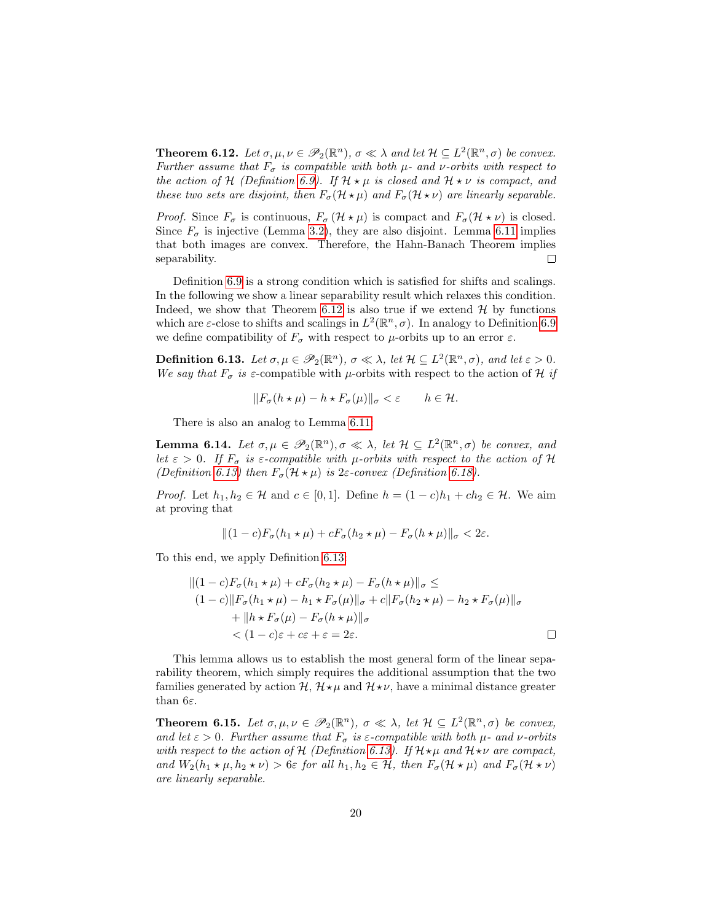**Theorem 6.12.** Let  $\sigma, \mu, \nu \in \mathscr{P}_2(\mathbb{R}^n)$ ,  $\sigma \ll \lambda$  and let  $\mathcal{H} \subseteq L^2(\mathbb{R}^n, \sigma)$  be convex. Further assume that  $F_{\sigma}$  is compatible with both  $\mu$ - and  $\nu$ -orbits with respect to the action of H (Definition [6.9\)](#page-18-3). If  $\mathcal{H} \star \mu$  is closed and  $\mathcal{H} \star \nu$  is compact, and these two sets are disjoint, then  $F_{\sigma}(\mathcal{H} \star \mu)$  and  $F_{\sigma}(\mathcal{H} \star \nu)$  are linearly separable.

*Proof.* Since  $F_{\sigma}$  is continuous,  $F_{\sigma}(\mathcal{H} \star \mu)$  is compact and  $F_{\sigma}(\mathcal{H} \star \nu)$  is closed. Since  $F_{\sigma}$  is injective (Lemma [3.2\)](#page-5-1), they are also disjoint. Lemma [6.11](#page-18-4) implies that both images are convex. Therefore, the Hahn-Banach Theorem implies separability.  $\Box$ 

Definition [6.9](#page-18-3) is a strong condition which is satisfied for shifts and scalings. In the following we show a linear separability result which relaxes this condition. Indeed, we show that Theorem [6.12](#page-18-1) is also true if we extend  $\mathcal{H}$  by functions which are  $\varepsilon$ -close to shifts and scalings in  $L^2(\mathbb{R}^n, \sigma)$ . In analogy to Definition [6.9](#page-18-3) we define compatibility of  $F_{\sigma}$  with respect to  $\mu$ -orbits up to an error  $\varepsilon$ .

<span id="page-19-1"></span>**Definition 6.13.** Let  $\sigma, \mu \in \mathscr{P}_2(\mathbb{R}^n)$ ,  $\sigma \ll \lambda$ , let  $\mathcal{H} \subseteq L^2(\mathbb{R}^n, \sigma)$ , and let  $\varepsilon > 0$ . We say that  $F_{\sigma}$  is  $\varepsilon$ -compatible with  $\mu$ -orbits with respect to the action of H if

$$
||F_{\sigma}(h \star \mu) - h \star F_{\sigma}(\mu)||_{\sigma} < \varepsilon \qquad h \in \mathcal{H}.
$$

There is also an analog to Lemma [6.11:](#page-18-4)

<span id="page-19-2"></span>**Lemma 6.14.** Let  $\sigma, \mu \in \mathscr{P}_2(\mathbb{R}^n), \sigma \ll \lambda$ , let  $\mathcal{H} \subseteq L^2(\mathbb{R}^n, \sigma)$  be convex, and let  $\varepsilon > 0$ . If  $F_{\sigma}$  is  $\varepsilon$ -compatible with  $\mu$ -orbits with respect to the action of H (Definition [6.13\)](#page-19-1) then  $F_{\sigma}(\mathcal{H} \star \mu)$  is 2 $\varepsilon$ -convex (Definition [6.18\)](#page-24-0).

*Proof.* Let  $h_1, h_2 \in \mathcal{H}$  and  $c \in [0, 1]$ . Define  $h = (1 - c)h_1 + ch_2 \in \mathcal{H}$ . We aim at proving that

$$
||(1-c)F_{\sigma}(h_1\star\mu)+cF_{\sigma}(h_2\star\mu)-F_{\sigma}(h\star\mu)||_{\sigma}<2\varepsilon.
$$

To this end, we apply Definition [6.13:](#page-19-1)

$$
||(1-c)F_{\sigma}(h_1 \star \mu) + cF_{\sigma}(h_2 \star \mu) - F_{\sigma}(h \star \mu)||_{\sigma} \le
$$
  
\n
$$
(1-c)||F_{\sigma}(h_1 \star \mu) - h_1 \star F_{\sigma}(\mu)||_{\sigma} + c||F_{\sigma}(h_2 \star \mu) - h_2 \star F_{\sigma}(\mu)||_{\sigma}
$$
  
\n
$$
+ ||h \star F_{\sigma}(\mu) - F_{\sigma}(h \star \mu)||_{\sigma}
$$
  
\n
$$
< (1-c)\varepsilon + c\varepsilon + \varepsilon = 2\varepsilon.
$$

This lemma allows us to establish the most general form of the linear separability theorem, which simply requires the additional assumption that the two families generated by action  $\mathcal{H}, \mathcal{H} \star \mu$  and  $\mathcal{H} \star \nu$ , have a minimal distance greater than  $6\varepsilon$ .

<span id="page-19-0"></span>**Theorem 6.15.** Let  $\sigma, \mu, \nu \in \mathscr{P}_2(\mathbb{R}^n)$ ,  $\sigma \ll \lambda$ , let  $\mathcal{H} \subseteq L^2(\mathbb{R}^n, \sigma)$  be convex, and let  $\varepsilon > 0$ . Further assume that  $F_{\sigma}$  is  $\varepsilon$ -compatible with both  $\mu$ - and  $\nu$ -orbits with respect to the action of  $H$  (Definition [6.13\)](#page-19-1). If  $H\star\mu$  and  $H\star\nu$  are compact, and  $W_2(h_1 \star \mu, h_2 \star \nu) > 6\varepsilon$  for all  $h_1, h_2 \in \mathcal{H}$ , then  $F_{\sigma}(\mathcal{H} \star \mu)$  and  $F_{\sigma}(\mathcal{H} \star \nu)$ are linearly separable.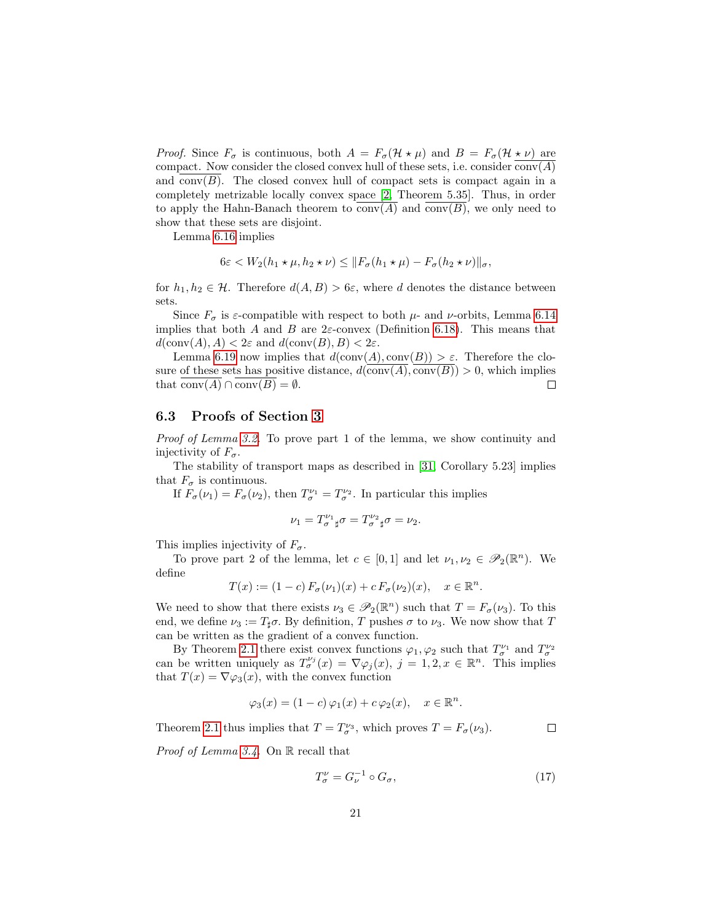*Proof.* Since  $F_{\sigma}$  is continuous, both  $A = F_{\sigma}(\mathcal{H} \star \mu)$  and  $B = F_{\sigma}(\mathcal{H} \star \nu)$  are compact. Now consider the closed convex hull of these sets, i.e. consider  $conv(A)$ and conv $(B)$ . The closed convex hull of compact sets is compact again in a completely metrizable locally convex space [\[2,](#page-25-12) Theorem 5.35]. Thus, in order to apply the Hahn-Banach theorem to  $conv(A)$  and  $conv(B)$ , we only need to show that these sets are disjoint.

Lemma [6.16](#page-21-1) implies

$$
6\varepsilon < W_2(h_1 \star \mu, h_2 \star \nu) \leq \|F_\sigma(h_1 \star \mu) - F_\sigma(h_2 \star \nu)\|_\sigma,
$$

for  $h_1, h_2 \in \mathcal{H}$ . Therefore  $d(A, B) > 6\varepsilon$ , where d denotes the distance between sets.

Since  $F_{\sigma}$  is  $\varepsilon$ -compatible with respect to both  $\mu$ - and  $\nu$ -orbits, Lemma [6.14](#page-19-2) implies that both A and B are  $2\varepsilon$ -convex (Definition [6.18\)](#page-24-0). This means that  $d(\text{conv}(A), A) < 2\varepsilon$  and  $d(\text{conv}(B), B) < 2\varepsilon$ .

Lemma [6.19](#page-24-1) now implies that  $d(\text{conv}(A), \text{conv}(B)) > \varepsilon$ . Therefore the closure of these sets has positive distance,  $d(\text{conv}(A), \text{conv}(B)) > 0$ , which implies that  $\text{conv}(A) \cap \text{conv}(B) = \emptyset$ .  $\Box$ 

#### <span id="page-20-0"></span>6.3 Proofs of Section [3](#page-4-3)

Proof of Lemma [3.2.](#page-5-1) To prove part 1 of the lemma, we show continuity and injectivity of  $F_{\sigma}$ .

The stability of transport maps as described in [\[31,](#page-27-2) Corollary 5.23] implies that  $F_{\sigma}$  is continuous.

If  $F_{\sigma}(\nu_1) = F_{\sigma}(\nu_2)$ , then  $T_{\sigma}^{\nu_1} = T_{\sigma}^{\nu_2}$ . In particular this implies

$$
\nu_1=T_\sigma^{\nu_1}{}_\sharp \sigma=T_\sigma^{\nu_2}{}_\sharp \sigma=\nu_2.
$$

This implies injectivity of  $F_{\sigma}$ .

To prove part 2 of the lemma, let  $c \in [0,1]$  and let  $\nu_1, \nu_2 \in \mathscr{P}_2(\mathbb{R}^n)$ . We define

$$
T(x) := (1 - c) F_{\sigma}(\nu_1)(x) + c F_{\sigma}(\nu_2)(x), \quad x \in \mathbb{R}^n.
$$

We need to show that there exists  $\nu_3 \in \mathscr{P}_2(\mathbb{R}^n)$  such that  $T = F_{\sigma}(\nu_3)$ . To this end, we define  $\nu_3 := T_{\sharp} \sigma$ . By definition, T pushes  $\sigma$  to  $\nu_3$ . We now show that T can be written as the gradient of a convex function.

By Theorem [2.1](#page-4-2) there exist convex functions  $\varphi_1, \varphi_2$  such that  $T^{\nu_1}_{\sigma}$  and  $T^{\nu_2}_{\sigma}$ can be written uniquely as  $T^{\nu_j}_{\sigma}(x) = \nabla \varphi_j(x), j = 1, 2, x \in \mathbb{R}^n$ . This implies that  $T(x) = \nabla \varphi_3(x)$ , with the convex function

$$
\varphi_3(x) = (1 - c)\varphi_1(x) + c\varphi_2(x), \quad x \in \mathbb{R}^n.
$$

Theorem [2.1](#page-4-2) thus implies that  $T = T_{\sigma}^{\nu_3}$ , which proves  $T = F_{\sigma}(\nu_3)$ .  $\Box$ 

*Proof of Lemma [3.4.](#page-6-1)* On  $\mathbb R$  recall that

$$
T^{\nu}_{\sigma} = G_{\nu}^{-1} \circ G_{\sigma},\tag{17}
$$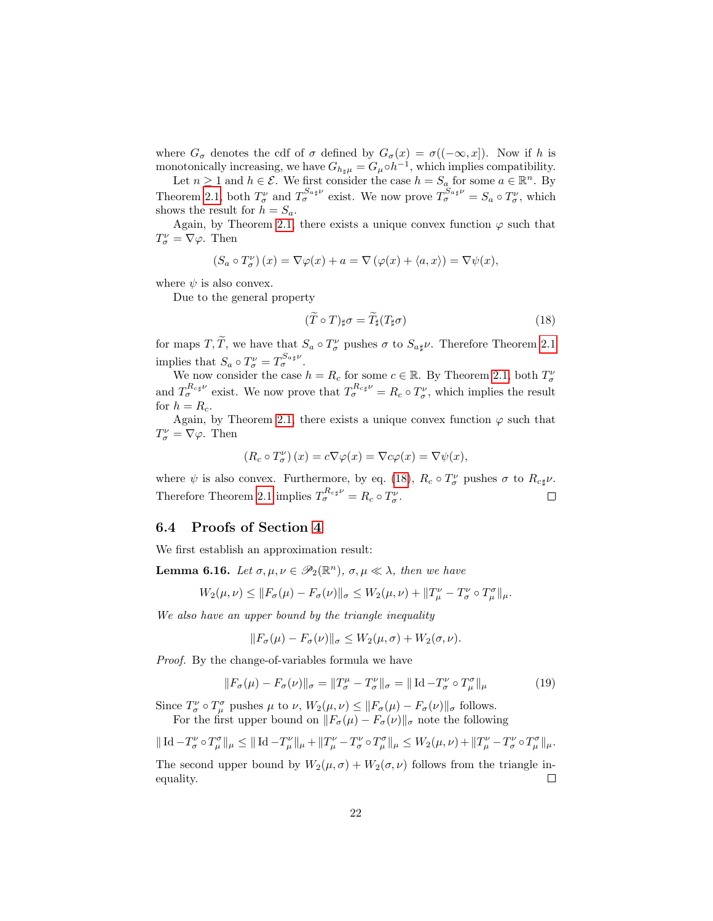where  $G_{\sigma}$  denotes the cdf of  $\sigma$  defined by  $G_{\sigma}(x) = \sigma((-\infty, x])$ . Now if h is monotonically increasing, we have  $G_{h_{\sharp}\mu} = G_{\mu} \circ h^{-1}$ , which implies compatibility.

Let  $n \geq 1$  and  $h \in \mathcal{E}$ . We first consider the case  $h = S_a$  for some  $a \in \mathbb{R}^n$ . By Theorem [2.1,](#page-4-2) both  $T_{\sigma}^{\nu}$  and  $T_{\sigma}^{S_{a\sharp}\nu}$  exist. We now prove  $T_{\sigma}^{S_{a\sharp}\nu} = S_a \circ T_{\sigma}^{\nu}$ , which shows the result for  $h = S_a$ .

Again, by Theorem [2.1,](#page-4-2) there exists a unique convex function  $\varphi$  such that  $T^{\nu}_{\sigma} = \nabla \varphi$ . Then

$$
(S_a \circ T_{\sigma}^{\nu})(x) = \nabla \varphi(x) + a = \nabla (\varphi(x) + \langle a, x \rangle) = \nabla \psi(x),
$$

where  $\psi$  is also convex.

Due to the general property

<span id="page-21-2"></span>
$$
(\tilde{T} \circ T)_{\sharp} \sigma = \tilde{T}_{\sharp} (T_{\sharp} \sigma) \tag{18}
$$

for maps  $T, \tilde{T}$ , we have that  $S_a \circ T^{\nu}_{\sigma}$  pushes  $\sigma$  to  $S_{a\sharp}\nu$ . Therefore Theorem [2.1](#page-4-2) implies that  $S_a \circ T^{\nu}_{\sigma} = T^{S_{a\sharp} \nu}_{\sigma}$ .

We now consider the case  $h = R_c$  for some  $c \in \mathbb{R}$ . By Theorem [2.1,](#page-4-2) both  $T^{\nu}_{\sigma}$ and  $T_{\sigma}^{R_{c\mu\nu}}$  exist. We now prove that  $T_{\sigma}^{R_{c\mu\nu}} = R_c \circ T_{\sigma}^{\nu}$ , which implies the result for  $h = R_c$ .

Again, by Theorem [2.1,](#page-4-2) there exists a unique convex function  $\varphi$  such that  $T^{\nu}_{\sigma} = \nabla \varphi$ . Then

$$
(R_c \circ T_\sigma^\nu)(x) = c \nabla \varphi(x) = \nabla c \varphi(x) = \nabla \psi(x),
$$

where  $\psi$  is also convex. Furthermore, by eq. [\(18\)](#page-21-2),  $R_c \circ T^{\nu}_{\sigma}$  pushes  $\sigma$  to  $R_{c\sharp}\nu$ . Therefore Theorem [2.1](#page-4-2) implies  $T_{\sigma}^{R_{c\sharp}\nu} = R_c \circ T_{\sigma}^{\nu}$ .  $\Box$ 

#### <span id="page-21-0"></span>6.4 Proofs of Section [4](#page-6-0)

We first establish an approximation result:

<span id="page-21-1"></span>**Lemma 6.16.** Let  $\sigma, \mu, \nu \in \mathscr{P}_2(\mathbb{R}^n)$ ,  $\sigma, \mu \ll \lambda$ , then we have

$$
W_2(\mu,\nu) \leq \|F_{\sigma}(\mu) - F_{\sigma}(\nu)\|_{\sigma} \leq W_2(\mu,\nu) + \|T_{\mu}^{\nu} - T_{\sigma}^{\nu} \circ T_{\mu}^{\sigma}\|_{\mu}.
$$

We also have an upper bound by the triangle inequality

$$
||F_{\sigma}(\mu) - F_{\sigma}(\nu)||_{\sigma} \le W_2(\mu, \sigma) + W_2(\sigma, \nu).
$$

Proof. By the change-of-variables formula we have

$$
||F_{\sigma}(\mu) - F_{\sigma}(\nu)||_{\sigma} = ||T^{\mu}_{\sigma} - T^{\nu}_{\sigma}||_{\sigma} = ||\operatorname{Id} - T^{\nu}_{\sigma} \circ T^{\sigma}_{\mu}||_{\mu}
$$
(19)

Since  $T^{\nu}_{\sigma} \circ T^{\sigma}_{\mu}$  pushes  $\mu$  to  $\nu$ ,  $W_2(\mu, \nu) \leq ||F_{\sigma}(\mu) - F_{\sigma}(\nu)||_{\sigma}$  follows. For the first upper bound on  $||F_{\sigma}(\mu) - F_{\sigma}(\nu)||_{\sigma}$  note the following

$$
\|\operatorname{Id}-T_{\sigma}^{\nu}\circ T_{\mu}^{\sigma}\|_{\mu}\leq \|\operatorname{Id}-T_{\mu}^{\nu}\|_{\mu}+\|T_{\mu}^{\nu}-T_{\sigma}^{\nu}\circ T_{\mu}^{\sigma}\|_{\mu}\leq W_2(\mu,\nu)+\|T_{\mu}^{\nu}-T_{\sigma}^{\nu}\circ T_{\mu}^{\sigma}\|_{\mu}.
$$

The second upper bound by  $W_2(\mu, \sigma) + W_2(\sigma, \nu)$  follows from the triangle inequality.  $\Box$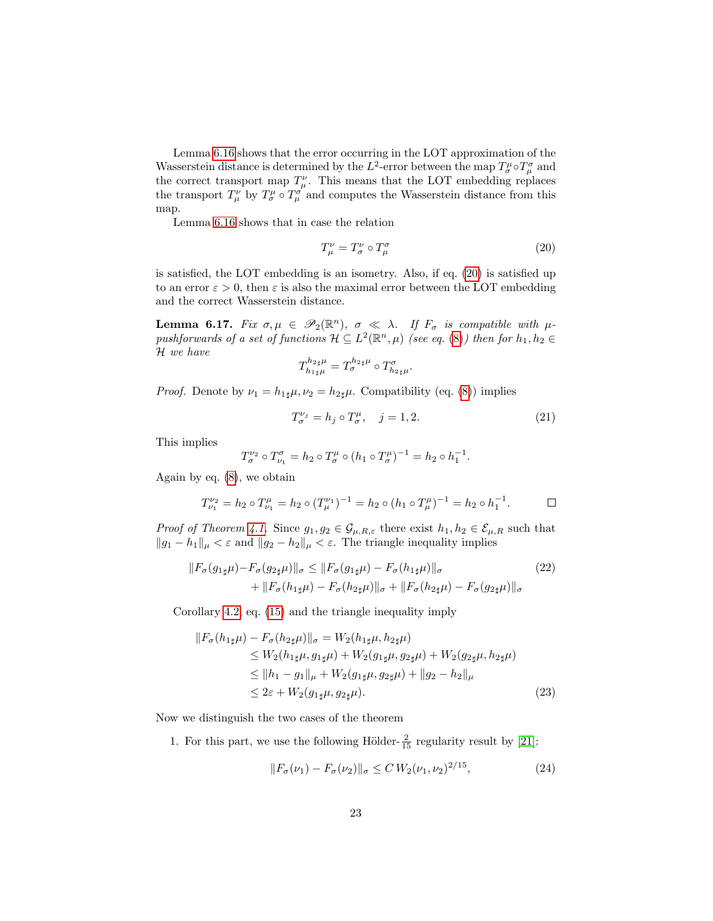Lemma [6.16](#page-21-1) shows that the error occurring in the LOT approximation of the Wasserstein distance is determined by the  $L^2$ -error between the map  $T^{\mu}_{\sigma} \circ T^{\sigma}_{\mu}$  and the correct transport map  $T^{\nu}_{\mu}$ . This means that the LOT embedding replaces the transport  $T^{\nu}_{\mu}$  by  $T^{\mu}_{\sigma} \circ T^{\sigma}_{\mu}$  and computes the Wasserstein distance from this map.

Lemma [6.16](#page-21-1) shows that in case the relation

<span id="page-22-1"></span>
$$
T^{\nu}_{\mu} = T^{\nu}_{\sigma} \circ T^{\sigma}_{\mu} \tag{20}
$$

is satisfied, the LOT embedding is an isometry. Also, if eq. [\(20\)](#page-22-1) is satisfied up to an error  $\varepsilon > 0$ , then  $\varepsilon$  is also the maximal error between the LOT embedding and the correct Wasserstein distance.

<span id="page-22-0"></span>**Lemma 6.17.** Fix  $\sigma, \mu \in \mathscr{P}_2(\mathbb{R}^n)$ ,  $\sigma \ll \lambda$ . If  $F_{\sigma}$  is compatible with  $\mu$ pushforwards of a set of functions  $\mathcal{H} \subseteq L^2(\mathbb{R}^n, \mu)$  (see eq. [\(8\)](#page-5-0)) then for  $h_1, h_2 \in$ H we have

$$
T^{h_{2\,\sharp}\mu}_{h_{1\,\sharp}\mu}=T^{h_{2\,\sharp}\mu}_{\sigma}\circ T^{\sigma}_{h_{2\,\sharp}\mu}.
$$

*Proof.* Denote by  $\nu_1 = h_{1\sharp}\mu$ ,  $\nu_2 = h_{2\sharp}\mu$ . Compatibility (eq. [\(8\)](#page-5-0)) implies

<span id="page-22-3"></span>
$$
T^{\nu_j}_{\sigma} = h_j \circ T^{\mu}_{\sigma}, \quad j = 1, 2. \tag{21}
$$

This implies

$$
T_{\sigma}^{\nu_2} \circ T_{\nu_1}^{\sigma} = h_2 \circ T_{\sigma}^{\mu} \circ (h_1 \circ T_{\sigma}^{\mu})^{-1} = h_2 \circ h_1^{-1}.
$$

Again by eq. [\(8\)](#page-5-0), we obtain

$$
T_{\nu_1}^{\nu_2} = h_2 \circ T_{\nu_1}^{\mu} = h_2 \circ (T_{\mu}^{\nu_1})^{-1} = h_2 \circ (h_1 \circ T_{\mu}^{\mu})^{-1} = h_2 \circ h_1^{-1}.
$$

*Proof of Theorem [4.1.](#page-7-0)* Since  $g_1, g_2 \in \mathcal{G}_{\mu,R,\varepsilon}$  there exist  $h_1, h_2 \in \mathcal{E}_{\mu,R}$  such that  $||g_1 - h_1||_{\mu} < \varepsilon$  and  $||g_2 - h_2||_{\mu} < \varepsilon$ . The triangle inequality implies

$$
||F_{\sigma}(g_{1\sharp}\mu) - F_{\sigma}(g_{2\sharp}\mu)||_{\sigma} \le ||F_{\sigma}(g_{1\sharp}\mu) - F_{\sigma}(h_{1\sharp}\mu)||_{\sigma} + ||F_{\sigma}(h_{1\sharp}\mu) - F_{\sigma}(h_{2\sharp}\mu)||_{\sigma} + ||F_{\sigma}(h_{2\sharp}\mu) - F_{\sigma}(g_{2\sharp}\mu)||_{\sigma}
$$
\n(22)

Corollary [4.2,](#page-8-1) eq. [\(15\)](#page-17-1) and the triangle inequality imply

$$
||F_{\sigma}(h_{1\sharp}\mu) - F_{\sigma}(h_{2\sharp}\mu)||_{\sigma} = W_2(h_{1\sharp}\mu, h_{2\sharp}\mu)
$$
  
\n
$$
\leq W_2(h_{1\sharp}\mu, g_{1\sharp}\mu) + W_2(g_{1\sharp}\mu, g_{2\sharp}\mu) + W_2(g_{2\sharp}\mu, h_{2\sharp}\mu)
$$
  
\n
$$
\leq ||h_1 - g_1||_{\mu} + W_2(g_{1\sharp}\mu, g_{2\sharp}\mu) + ||g_2 - h_2||_{\mu}
$$
  
\n
$$
\leq 2\varepsilon + W_2(g_{1\sharp}\mu, g_{2\sharp}\mu).
$$
\n(23)

Now we distinguish the two cases of the theorem

1. For this part, we use the following Hölder- $\frac{2}{15}$  regularity result by [\[21\]](#page-26-4):

<span id="page-22-4"></span><span id="page-22-2"></span>
$$
||F_{\sigma}(\nu_1) - F_{\sigma}(\nu_2)||_{\sigma} \leq C W_2(\nu_1, \nu_2)^{2/15}, \tag{24}
$$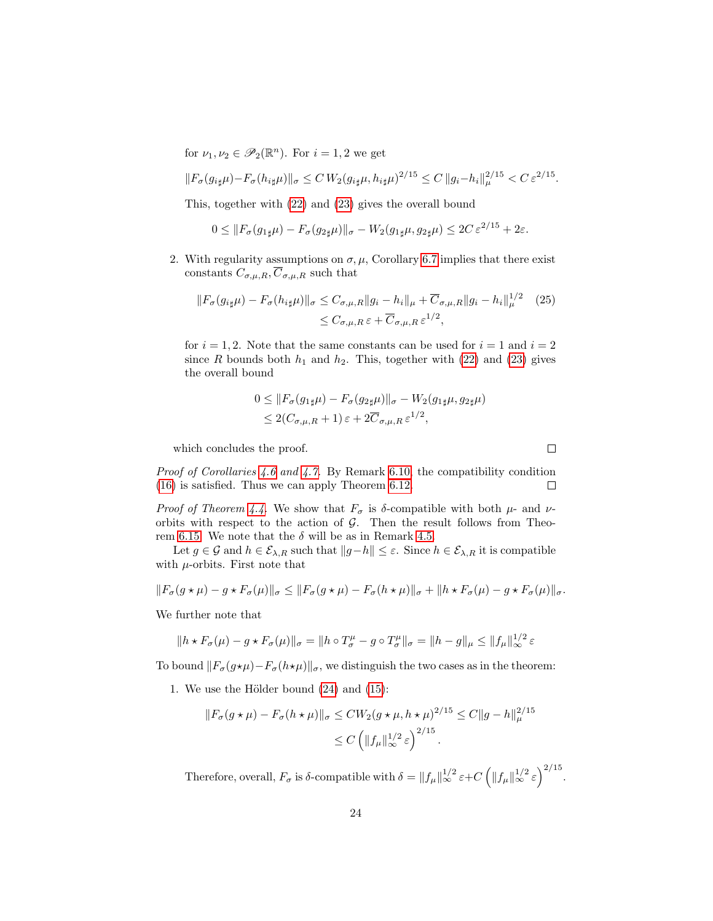for  $\nu_1, \nu_2 \in \mathscr{P}_2(\mathbb{R}^n)$ . For  $i = 1, 2$  we get

$$
||F_{\sigma}(g_{i\sharp}\mu)-F_{\sigma}(h_{i\sharp}\mu)||_{\sigma} \leq C W_2(g_{i\sharp}\mu,h_{i\sharp}\mu)^{2/15} \leq C ||g_i-h_i||_{\mu}^{2/15} < C \varepsilon^{2/15}.
$$

This, together with [\(22\)](#page-22-3) and [\(23\)](#page-22-4) gives the overall bound

$$
0 \leq \|F_{\sigma}(g_{1\sharp}\mu) - F_{\sigma}(g_{2\sharp}\mu)\|_{\sigma} - W_2(g_{1\sharp}\mu, g_{2\sharp}\mu) \leq 2C \,\varepsilon^{2/15} + 2\varepsilon.
$$

2. With regularity assumptions on  $\sigma, \mu$ , Corollary [6.7](#page-17-0) implies that there exist constants  $C_{\sigma,\mu,R}, \overline{C}_{\sigma,\mu,R}$  such that

$$
||F_{\sigma}(g_{i\sharp}\mu) - F_{\sigma}(h_{i\sharp}\mu)||_{\sigma} \leq C_{\sigma,\mu,R} ||g_i - h_i||_{\mu} + \overline{C}_{\sigma,\mu,R} ||g_i - h_i||_{\mu}^{1/2} \quad (25)
$$
  

$$
\leq C_{\sigma,\mu,R} \varepsilon + \overline{C}_{\sigma,\mu,R} \varepsilon^{1/2},
$$

for  $i = 1, 2$ . Note that the same constants can be used for  $i = 1$  and  $i = 2$ since R bounds both  $h_1$  and  $h_2$ . This, together with [\(22\)](#page-22-3) and [\(23\)](#page-22-4) gives the overall bound

$$
0 \leq ||F_{\sigma}(g_{1\sharp}\mu) - F_{\sigma}(g_{2\sharp}\mu)||_{\sigma} - W_2(g_{1\sharp}\mu, g_{2\sharp}\mu)
$$
  

$$
\leq 2(C_{\sigma,\mu,R} + 1) \varepsilon + 2\overline{C}_{\sigma,\mu,R} \varepsilon^{1/2},
$$

which concludes the proof.

Proof of Corollaries [4.6](#page-9-0) and [4.7.](#page-10-1) By Remark [6.10,](#page-18-5) the compatibility condition [\(16\)](#page-18-2) is satisfied. Thus we can apply Theorem [6.12.](#page-18-1)  $\Box$ 

*Proof of Theorem [4.4.](#page-8-0)* We show that  $F_{\sigma}$  is  $\delta$ -compatible with both  $\mu$ - and  $\nu$ orbits with respect to the action of  $G$ . Then the result follows from Theo-rem [6.15.](#page-19-0) We note that the  $\delta$  will be as in Remark [4.5.](#page-9-1)

Let  $g \in \mathcal{G}$  and  $h \in \mathcal{E}_{\lambda,R}$  such that  $||g-h|| \leq \varepsilon$ . Since  $h \in \mathcal{E}_{\lambda,R}$  it is compatible with  $\mu$ -orbits. First note that

$$
||F_{\sigma}(g \star \mu) - g \star F_{\sigma}(\mu)||_{\sigma} \le ||F_{\sigma}(g \star \mu) - F_{\sigma}(h \star \mu)||_{\sigma} + ||h \star F_{\sigma}(\mu) - g \star F_{\sigma}(\mu)||_{\sigma}.
$$

We further note that

$$
||h * F_{\sigma}(\mu) - g * F_{\sigma}(\mu)||_{\sigma} = ||h \circ T_{\sigma}^{\mu} - g \circ T_{\sigma}^{\mu}||_{\sigma} = ||h - g||_{\mu} \leq ||f_{\mu}||_{\infty}^{1/2} \varepsilon
$$

To bound  $||F_{\sigma}(g*\mu)-F_{\sigma}(h*\mu)||_{\sigma}$ , we distinguish the two cases as in the theorem:

1. We use the Hölder bound  $(24)$  and  $(15)$ :

$$
||F_{\sigma}(g \star \mu) - F_{\sigma}(h \star \mu)||_{\sigma} \le CW_2(g \star \mu, h \star \mu)^{2/15} \le C ||g - h||_{\mu}^{2/15}
$$
  

$$
\le C \left( ||f_{\mu}||_{\infty}^{1/2} \varepsilon \right)^{2/15}.
$$

Therefore, overall,  $F_{\sigma}$  is  $\delta$ -compatible with  $\delta = ||f_{\mu}||_{\infty}^{1/2} \varepsilon + C \left(||f_{\mu}||_{\infty}^{1/2} \varepsilon\right)^{2/15}$ .

 $\Box$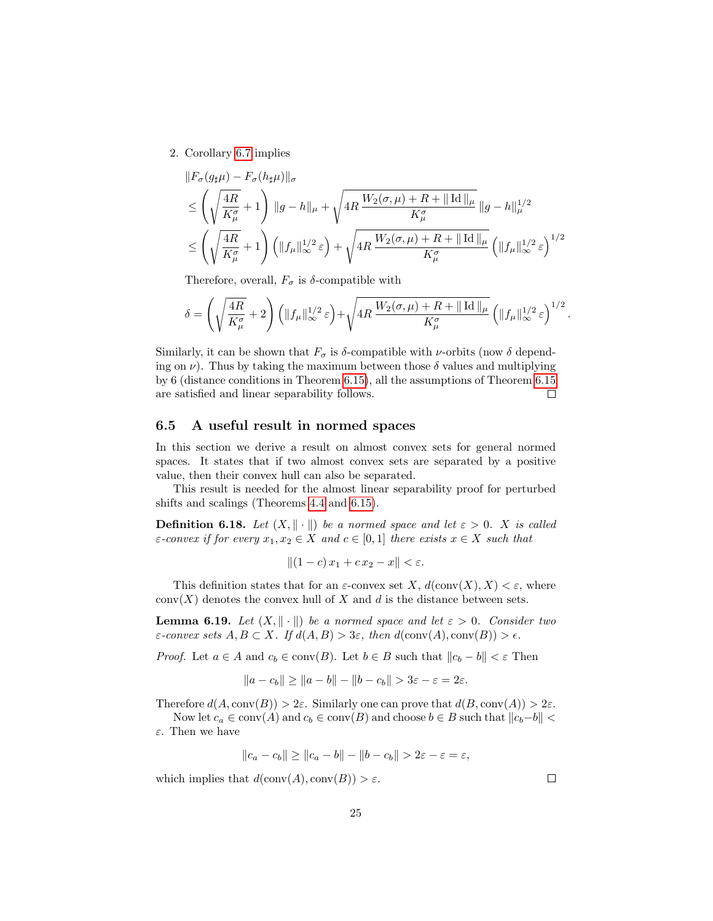2. Corollary [6.7](#page-17-0) implies

$$
\|F_{\sigma}(g_{\sharp}\mu) - F_{\sigma}(h_{\sharp}\mu)\|_{\sigma}
$$
\n
$$
\leq \left(\sqrt{\frac{4R}{K_{\mu}^{\sigma}}} + 1\right) \|g - h\|_{\mu} + \sqrt{4R \frac{W_{2}(\sigma,\mu) + R + ||\operatorname{Id}||_{\mu}}{K_{\mu}^{\sigma}} \|g - h\|_{\mu}^{1/2}}
$$
\n
$$
\leq \left(\sqrt{\frac{4R}{K_{\mu}^{\sigma}}} + 1\right) \left(\|f_{\mu}\|_{\infty}^{1/2} \varepsilon\right) + \sqrt{4R \frac{W_{2}(\sigma,\mu) + R + ||\operatorname{Id}||_{\mu}}{K_{\mu}^{\sigma}} \left(\|f_{\mu}\|_{\infty}^{1/2} \varepsilon\right)^{1/2}}
$$

Therefore, overall,  $F_{\sigma}$  is  $\delta$ -compatible with

$$
\delta = \left(\sqrt{\frac{4R}{K_\mu^{\sigma}}}+2\right)\left(\|f_\mu\|_\infty^{1/2}\varepsilon\right) + \sqrt{4R\,\frac{W_2(\sigma,\mu)+R+\|\operatorname{Id}\|_\mu}{K_\mu^{\sigma}}}\left(\|f_\mu\|_\infty^{1/2}\varepsilon\right)^{1/2}.
$$

Similarly, it can be shown that  $F_{\sigma}$  is  $\delta$ -compatible with *v*-orbits (now  $\delta$  depending on  $\nu$ ). Thus by taking the maximum between those  $\delta$  values and multiplying by 6 (distance conditions in Theorem [6.15\)](#page-19-0), all the assumptions of Theorem [6.15](#page-19-0) are satisfied and linear separability follows.  $\Box$ 

#### 6.5 A useful result in normed spaces

In this section we derive a result on almost convex sets for general normed spaces. It states that if two almost convex sets are separated by a positive value, then their convex hull can also be separated.

This result is needed for the almost linear separability proof for perturbed shifts and scalings (Theorems [4.4](#page-8-0) and [6.15\)](#page-19-0).

<span id="page-24-0"></span>**Definition 6.18.** Let  $(X, \|\cdot\|)$  be a normed space and let  $\varepsilon > 0$ . X is called  $\varepsilon$ -convex if for every  $x_1, x_2 \in X$  and  $c \in [0,1]$  there exists  $x \in X$  such that

$$
||(1-c)x_1+cx_2-x|| < \varepsilon.
$$

This definition states that for an  $\varepsilon$ -convex set X,  $d(\text{conv}(X), X) < \varepsilon$ , where conv(X) denotes the convex hull of X and d is the distance between sets.

<span id="page-24-1"></span>**Lemma 6.19.** Let  $(X, \|\cdot\|)$  be a normed space and let  $\varepsilon > 0$ . Consider two  $\varepsilon$ -convex sets  $A, B \subset X$ . If  $d(A, B) > 3\varepsilon$ , then  $d(\text{conv}(A), \text{conv}(B)) > \varepsilon$ .

*Proof.* Let  $a \in A$  and  $c_b \in \text{conv}(B)$ . Let  $b \in B$  such that  $||c_b - b|| < \varepsilon$  Then

$$
||a - c_b|| \ge ||a - b|| - ||b - c_b|| > 3\varepsilon - \varepsilon = 2\varepsilon.
$$

Therefore  $d(A, \text{conv}(B)) > 2\varepsilon$ . Similarly one can prove that  $d(B, \text{conv}(A)) > 2\varepsilon$ .

Now let  $c_a \in \text{conv}(A)$  and  $c_b \in \text{conv}(B)$  and choose  $b \in B$  such that  $||c_b-b|| <$ ε. Then we have

$$
||c_a - c_b|| \ge ||c_a - b|| - ||b - c_b|| > 2\varepsilon - \varepsilon = \varepsilon,
$$

which implies that  $d(\text{conv}(A), \text{conv}(B)) > \varepsilon$ .

 $\Box$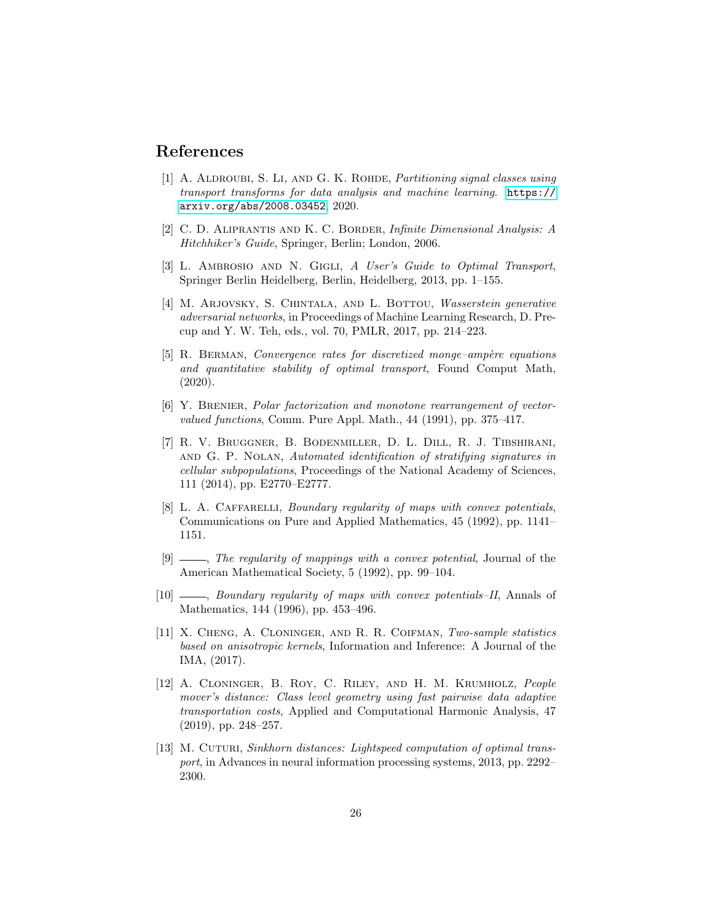### References

- <span id="page-25-8"></span>[1] A. ALDROUBI, S. LI, AND G. K. ROHDE, *Partitioning signal classes using* transport transforms for data analysis and machine learning. [https://](https://arxiv.org/abs/2008.03452) [arxiv.org/abs/2008.03452](https://arxiv.org/abs/2008.03452), 2020.
- <span id="page-25-12"></span>[2] C. D. Aliprantis and K. C. Border, Infinite Dimensional Analysis: A Hitchhiker's Guide, Springer, Berlin; London, 2006.
- <span id="page-25-6"></span>[3] L. AMBROSIO AND N. GIGLI, A User's Guide to Optimal Transport, Springer Berlin Heidelberg, Berlin, Heidelberg, 2013, pp. 1–155.
- <span id="page-25-3"></span>[4] M. ARJOVSKY, S. CHINTALA, AND L. BOTTOU, *Wasserstein generative* adversarial networks, in Proceedings of Machine Learning Research, D. Precup and Y. W. Teh, eds., vol. 70, PMLR, 2017, pp. 214–223.
- <span id="page-25-7"></span>[5] R. BERMAN, Convergence rates for discretized monge–ampère equations and quantitative stability of optimal transport, Found Comput Math, (2020).
- <span id="page-25-5"></span>[6] Y. Brenier, Polar factorization and monotone rearrangement of vectorvalued functions, Comm. Pure Appl. Math., 44 (1991), pp. 375–417.
- <span id="page-25-1"></span>[7] R. V. Bruggner, B. Bodenmiller, D. L. Dill, R. J. Tibshirani, and G. P. Nolan, Automated identification of stratifying signatures in cellular subpopulations, Proceedings of the National Academy of Sciences, 111 (2014), pp. E2770–E2777.
- <span id="page-25-9"></span>[8] L. A. CAFFARELLI, Boundary regularity of maps with convex potentials, Communications on Pure and Applied Mathematics, 45 (1992), pp. 1141– 1151.
- <span id="page-25-10"></span> $[9]$   $\_\_\_\_\_\$ The regularity of mappings with a convex potential, Journal of the American Mathematical Society, 5 (1992), pp. 99–104.
- <span id="page-25-11"></span>[10]  $\_\_\_\_\_\$ n Boundary regularity of maps with convex potentials–II, Annals of Mathematics, 144 (1996), pp. 453–496.
- <span id="page-25-2"></span>[11] X. Cheng, A. Cloninger, and R. R. Coifman, Two-sample statistics based on anisotropic kernels, Information and Inference: A Journal of the IMA, (2017).
- <span id="page-25-0"></span>[12] A. Cloninger, B. Roy, C. Riley, and H. M. Krumholz, People mover's distance: Class level geometry using fast pairwise data adaptive transportation costs, Applied and Computational Harmonic Analysis, 47 (2019), pp. 248–257.
- <span id="page-25-4"></span>[13] M. CUTURI, Sinkhorn distances: Lightspeed computation of optimal transport, in Advances in neural information processing systems, 2013, pp. 2292– 2300.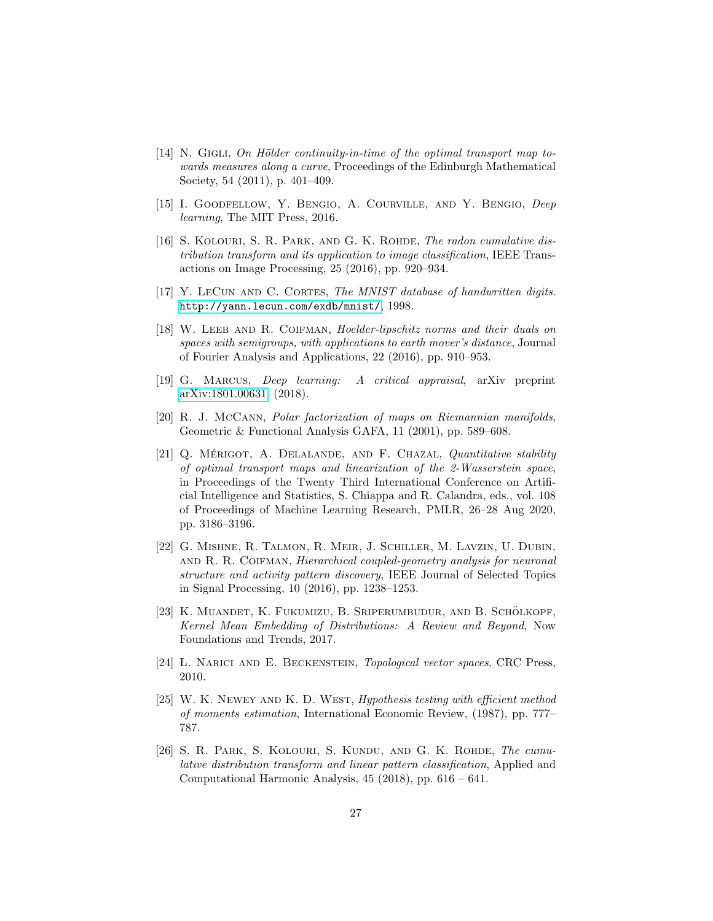- <span id="page-26-8"></span> $[14]$  N. GIGLI, On Hölder continuity-in-time of the optimal transport map towards measures along a curve, Proceedings of the Edinburgh Mathematical Society, 54 (2011), p. 401–409.
- <span id="page-26-11"></span>[15] I. GOODFELLOW, Y. BENGIO, A. COURVILLE, AND Y. BENGIO, Deep learning, The MIT Press, 2016.
- <span id="page-26-6"></span>[16] S. KOLOURI, S. R. PARK, AND G. K. ROHDE, *The radon cumulative dis*tribution transform and its application to image classification, IEEE Transactions on Image Processing, 25 (2016), pp. 920–934.
- <span id="page-26-10"></span>[17] Y. LECUN AND C. CORTES, The MNIST database of handwritten digits. <http://yann.lecun.com/exdb/mnist/>, 1998.
- <span id="page-26-3"></span>[18] W. Leeb and R. Coifman, Hoelder-lipschitz norms and their duals on spaces with semigroups, with applications to earth mover's distance, Journal of Fourier Analysis and Applications, 22 (2016), pp. 910–953.
- <span id="page-26-12"></span>[19] G. Marcus, Deep learning: A critical appraisal, arXiv preprint [arXiv:1801.00631,](http://arxiv.org/abs/1801.00631) (2018).
- <span id="page-26-7"></span>[20] R. J. McCann, Polar factorization of maps on Riemannian manifolds, Geometric & Functional Analysis GAFA, 11 (2001), pp. 589–608.
- <span id="page-26-4"></span>[21] Q. MÉRIGOT, A. DELALANDE, AND F. CHAZAL, Quantitative stability of optimal transport maps and linearization of the 2-Wasserstein space, in Proceedings of the Twenty Third International Conference on Artificial Intelligence and Statistics, S. Chiappa and R. Calandra, eds., vol. 108 of Proceedings of Machine Learning Research, PMLR, 26–28 Aug 2020, pp. 3186–3196.
- <span id="page-26-2"></span>[22] G. Mishne, R. Talmon, R. Meir, J. Schiller, M. Lavzin, U. Dubin, and R. R. Coifman, Hierarchical coupled-geometry analysis for neuronal structure and activity pattern discovery, IEEE Journal of Selected Topics in Signal Processing, 10 (2016), pp. 1238–1253.
- <span id="page-26-1"></span>[23] K. MUANDET, K. FUKUMIZU, B. SRIPERUMBUDUR, AND B. SCHÖLKOPF, Kernel Mean Embedding of Distributions: A Review and Beyond, Now Foundations and Trends, 2017.
- <span id="page-26-9"></span>[24] L. Narici and E. Beckenstein, Topological vector spaces, CRC Press, 2010.
- <span id="page-26-0"></span>[25] W. K. Newey and K. D. West, Hypothesis testing with efficient method of moments estimation, International Economic Review, (1987), pp. 777– 787.
- <span id="page-26-5"></span>[26] S. R. Park, S. Kolouri, S. Kundu, and G. K. Rohde, The cumulative distribution transform and linear pattern classification, Applied and Computational Harmonic Analysis, 45 (2018), pp. 616 – 641.